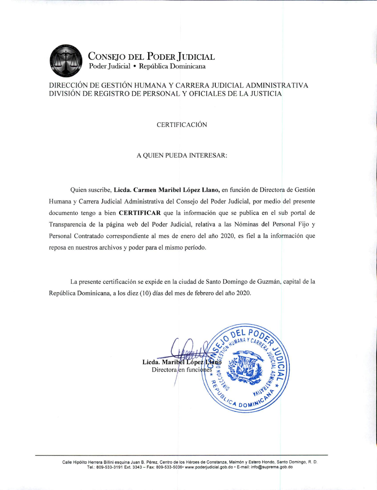

CONSEJO DEL PODER JUDICIAL Poder Judicial · República Dominicana

## DIRECCIÓN DE GESTIÓN HUMANA Y CARRERA JUDICIAL ADMINISTRATIVA DIVISIÓN DE REGISTRO DE PERSONAL Y OFICIALES DE LA JUSTICIA

**CERTIFICACIÓN** 

## A QUIEN PUEDA INTERESAR:

Quien suscribe, Licda. Carmen Maribel López Llano, en función de Directora de Gestión Humana y Carrera Judicial Administrativa del Consejo del Poder Judicial, por medio del presente documento tengo a bien **CERTIFICAR** que la información que se publica en el sub portal de Transparencia de la página web del Poder Judicial, relativa a las Nóminas del Personal Fijo y Personal Contratado correspondiente al mes de enero del año 2020, es fiel a la información que reposa en nuestros archivos y poder para el mismo período.

La presente certificación se expide en la ciudad de Santo Domingo de Guzmán, capital de la República Dominicana, a los diez (10) días del mes de febrero del año 2020.

> Licda. Maribel López Lla Directora en funciones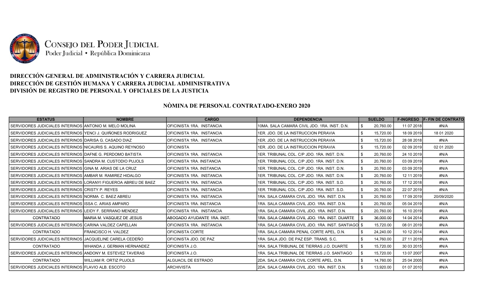

## DIRECCIÓN GENERAL DE ADMINISTRACIÓN Y CARRERA JUDICIAL DIRECCIÓN DE GESTIÓN HUMANA Y CARRERA JUDICIAL ADMINISTRATIVA DIVISIÓN DE REGISTRO DE PERSONAL Y OFICIALES DE LA JUSTICIA

## NÒMINA DE PERSONAL CONTRATADO-ENERO 2020

| <b>ESTATUS</b>                                                  | <b>NOMBRE</b>                  | <b>CARGO</b>                 | <b>DEPENDENCIA</b>                                  |      | <b>SUELDO</b> | <b>F-INGRESO</b> | <b>F- FIN DE CONTRATO</b> |
|-----------------------------------------------------------------|--------------------------------|------------------------------|-----------------------------------------------------|------|---------------|------------------|---------------------------|
| SERVIDORES JUDICIALES INTERINOS IANTONIO M. MELO MOLINA         |                                | IOFICINISTA 1RA. INSTANCIA   | 10MA, SALA CAMARA CIVIL JDO, 1RA, INST, D.N.        |      | 20,760.00     | 11 07 2018       | #N/A                      |
| I SERVIDORES JUDICIALES INTERINOS IYENCI J. QUIÑONES RODRIGUEZ  |                                | OFICINISTA 1RA. INSTANCIA    | 1ER. JDO. DE LA INSTRUCCION PERAVIA                 |      | 15,720.00     | 18 09 2019       | 18 01 2020                |
| SERVIDORES JUDICIALES INTERINOS IDARISA G. CASADO DIAZ          |                                | OFICINISTA 1RA. INSTANCIA    | 1ER. JDO. DE LA INSTRUCCION PERAVIA                 |      | 15,720.00     | 28 08 2018       | #N/A                      |
| I SERVIDORES JUDICIALES INTERINOS INICAURIS S. AQUINO REYNOSO   |                                | <b>OFICINISTA</b>            | 1ER. JDO. DE LA INSTRUCCION PERAVIA                 |      | 15,720.00     | 02 09 2019       | 02 01 2020                |
| SERVIDORES JUDICIALES INTERINOS IDAFNE G. PERDOMO BATISTA       |                                | IOFICINISTA 1RA. INSTANCIA   | 1ER. TRIBUNAL COL. C/P JDO. 1RA. INST. D.N.         | - \$ | 20,760.00     | 24 10 2019       | #N/A                      |
| SERVIDORES JUDICIALES INTERINOS ISANDRA M. CUSTODIO PUJOLS      |                                | OFICINISTA 1RA. INSTANCIA    | 1ER. TRIBUNAL COL. C/P JDO. 1RA. INST. D.N.         |      | 20.760.00     | 03 09 2019       | #N/A                      |
| l SERVIDORES JUDICIALES INTERINOS IGINA M. ARIAS DE LA CRUZ     |                                | OFICINISTA 1RA. INSTANCIA    | 1ER. TRIBUNAL COL. C/P JDO. 1RA. INST. D.N.         | - \$ | 20,760.00     | 03 09 2019       | #N/A                      |
| I SERVIDORES JUDICIALES INTERINOS IAMBAR M. RAMIREZ HIDALGO     |                                | OFICINISTA 1RA. INSTANCIA    | 1ER, TRIBUNAL COL. C/P JDO, 1RA, INST, D.N.         |      | 20,760.00     | 12 11 2019       | #N/A                      |
| SERVIDORES JUDICIALES INTERINOS LLORANYI FIGUEROA ABREU DE BAEZ |                                | OFICINISTA 1RA. INSTANCIA    | 1ER. TRIBUNAL COL. C/P JDO. 1RA. INST. S.D.         |      | 20,760.00     | 17 12 2018       | #N/A                      |
| SERVIDORES JUDICIALES INTERINOS CRISTY P. REYES                 |                                | IOFICINISTA 1RA. INSTANCIA   | 1ER. TRIBUNAL COL. C/P JDO. 1RA. INST. S.D.         | - \$ | 20.760.00     | 22 07 2019       | #N/A                      |
| I SERVIDORES JUDICIALES INTERINOS INORMA  C. BAEZ ABREU         |                                | IOFICINISTA 1RA. INSTANCIA   | 1RA, SALA CAMARA CIVIL JDO, 1RA, INST, D.N.         |      | 20,760.00     | 17 09 2019       | 20/09/2020                |
| SERVIDORES JUDICIALES INTERINOS IISSA C. ARIAS AMPARO           |                                | IOFICINISTA 1RA. INSTANCIA   | 1RA, SALA CAMARA CIVIL JDO, 1RA, INST, D.N.         | - \$ | 20,760.00     | 05 04 2019       | #N/A                      |
| SERVIDORES JUDICIALES INTERINOS ILEIDY F. SERRANO MENDEZ        |                                | OFICINISTA 1RA. INSTANCIA    | I1RA. SALA CAMARA CIVIL JDO. 1RA. INST. D.N.        |      | 20.760.00     | 16 10 2019       | #N/A                      |
| CONTRATADO                                                      | IMARIA M. VASQUEZ DE JESUS     | IABOGADO AYUDANTE 1RA. INST. | I1RA. SALA CAMARA CIVIL JDO. 1RA. INST. DUARTE      |      | 36,000.00     | 14 04 2014       | #N/A                      |
| SERVIDORES JUDICIALES INTERINOS ICARINA VALDEZ CAPELLAN         |                                | IOFICINISTA 1RA. INSTANCIA   | 1RA, SALA CAMARA CIVIL JDO, 1RA, INST, SANTIAGOI \$ |      | 15,720.00     | 08 01 2019       | #N/A                      |
| CONTRATADO                                                      | IFRANCISCO H. VALDEZ           | IOFICINISTA CORTE            | 1RA, SALA CAMARA PENAL CORTE APEL, D.N.             |      | 24,240.00     | 10 12 2014       | #N/A                      |
| I SERVIDORES JUDICIALES INTERINOS IJACQUELINE CARELA CEDEÑO     |                                | OFICINISTA JDO. DE PAZ       | 1RA, SALA JDO, DE PAZ ESP, TRANS, S.C.              | - \$ | 14,760.00     | 27 11 2019       | #N/A                      |
| CONTRATADO                                                      | IWHANDA J. GERMAN HERNANDEZ    | IOFICINISTA J.O.             | 1RA. SALA TRIBUNAL DE TIERRAS J.O. DUARTE           |      | 15,720.00     | 30 03 2015       | #N/A                      |
| I SERVIDORES JUDICIALES INTERINOS IANDONY M. ESTEVEZ TAVERAS.   |                                | IOFICINISTA J.O.             | 1RA, SALA TRIBUNAL DE TIERRAS J.O. SANTIAGO         |      | 15,720.00     | 13 07 2007       | #N/A                      |
| CONTRATADO                                                      | <b>WILLIAM R. ORTIZ PUJOLS</b> | ALGUACIL DE ESTRADO          | I2DA. SALA CAMARA CIVIL CORTE APEL. D.N.            |      | 14,760.00     | 25 04 2005       | #N/A                      |
| SERVIDORES JUDICIALES INTERINOS FELAVIO ALB. ESCOTO             |                                | <b>ARCHIVISTA</b>            | I2DA. SALA CAMARA CIVIL JDO. 1RA. INST. D.N.        | -\$  | 13,920.00     | 01 07 2010       | #N/A                      |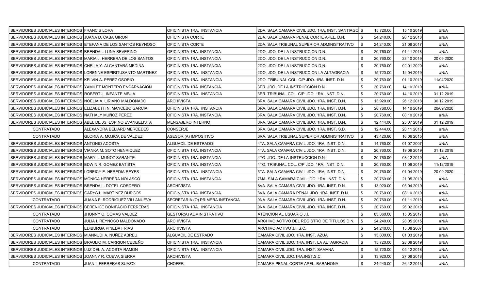| SERVIDORES JUDICIALES INTERINOS FRANCIS LORA                   |                                                                | OFICINISTA 1RA. INSTANCIA        | 2DA. SALA CAMARA CIVIL JDO. 1RA. INST. SANTIAGO \$ |                | 15,720.00 | 15 10 2019 | #N/A        |
|----------------------------------------------------------------|----------------------------------------------------------------|----------------------------------|----------------------------------------------------|----------------|-----------|------------|-------------|
| SERVIDORES JUDICIALES INTERINOS JJUANA D. CABA GIRON           |                                                                | OFICINISTA CORTE                 | 2DA. SALA CAMARA PENAL CORTE APEL. D.N.            | -\$            | 24,240.00 | 20 12 2018 | #N/A        |
| SERVIDORES JUDICIALES INTERINOS ETEFANA DE LOS SANTOS REYNOSO  |                                                                | IOFICINISTA CORTE                | 2DA. SALA TRIBUNAL SUPERIOR ADMINISTRATIVO         | .ኖ             | 24,240.00 | 21 08 2017 | #N/A        |
| SERVIDORES JUDICIALES INTERINOS BRENDA I. LUNA SEVERINO        |                                                                | OFICINISTA 1RA. INSTANCIA        | 2DO. JDO. DE LA INSTRUCCION D.N.                   | -\$            | 20,760.00 | 01 11 2018 | #N/A        |
| SERVIDORES JUDICIALES INTERINOS MARIA J. HERRERA DE LOS SANTOS |                                                                | OFICINISTA 1RA. INSTANCIA        | 2DO. JDO. DE LA INSTRUCCION D.N.                   |                | 20,760.00 | 23 10 2019 | 20 09 20 20 |
| SERVIDORES JUDICIALES INTERINOS CHEILA Y. ALCANTARA MEDINA     |                                                                | OFICINISTA 1RA. INSTANCIA        | 2DO. JDO. DE LA INSTRUCCION D.N.                   |                | 20,760.00 | 02 01 2020 | #N/A        |
|                                                                | SERVIDORES JUDICIALES INTERINOS LORENNE ESPIRITUSANTO MARTINEZ | OFICINISTA 1RA. INSTANCIA        | 2DO. JDO. DE LA INSTRUCCION LA ALTAGRACIA          | - \$           | 15,720.00 | 12 04 2019 | #N/A        |
| SERVIDORES JUDICIALES INTERINOS KELVIN A. PEREZ OSORIO         |                                                                | IOFICINISTA 1RA. INSTANCIA       | 2DO. TRIBUNAL COL. C/P JDO. 1RA. INST. D.N.        |                | 20,760.00 | 01 10 2019 | 11/04/2020  |
| SERVIDORES JUDICIALES INTERINOS YAMILET MONTERO ENCARNACION    |                                                                | OFICINISTA 1RA. INSTANCIA        | 3ER. JDO. DE LA INSTRUCCION D.N.                   |                | 20,760.00 | 14 10 2019 | #N/A        |
| SERVIDORES JUDICIALES INTERINOS ROBERT J. INFANTE MEJIA        |                                                                | OFICINISTA 1RA. INSTANCIA        | 3ER. TRIBUNAL COL. C/P JDO. 1RA .INST. D.N.        | - \$           | 20,760.00 | 14 10 2019 | 31 12 2019  |
| SERVIDORES JUDICIALES INTERINOS NOELIA A. LIRIANO MALDONADO    |                                                                | ARCHIVISTA                       | 3RA. SALA CAMARA CIVIL JDO. 1RA. INST. D.N.        |                | 13,920.00 | 26 12 2018 | 30 12 2019  |
| SERVIDORES JUDICIALES INTERINOS ELIZABETH N. MANCEBO GARCIA    |                                                                | OFICINISTA 1RA. INSTANCIA        | 3RA. SALA CAMARA CIVIL JDO. 1RA. INST. D.N.        | - \$           | 20,760.00 | 14 10 2019 | 20/09/2020  |
| SERVIDORES JUDICIALES INTERINOS NATHALY MUÑOZ PEREZ            |                                                                | OFICINISTA 1RA. INSTANCIA        | 3RA. SALA CAMARA CIVIL JDO. 1RA. INST. D.N.        |                | 20,760.00 | 08 10 2019 | #N/A        |
| SERVIDORES JUDICIALES INTERINOS ABEL DE JS. ESPINO EVANGELISTA |                                                                | <b>MENSAJERO INTERNO</b>         | 3RA. SALA CAMARA CIVIL JDO. 1RA. INST. D.N.        | - \$           | 12,444.00 | 25 07 2019 | 31 12 2019  |
| <b>CONTRATADO</b>                                              | ALEXANDRA BELIARD MERCEDES                                     | <b>CONSERJE</b>                  | 3RA. SALA CAMARA CIVIL JDO. 1RA. INST. S.D.        | \$             | 12.444.00 | 28 11 2016 | #N/A        |
| <b>CONTRATADO</b>                                              | GLORIA A. MOJICA DE VALDEZ                                     | ASESOR (A) IMPOSITIVO            | 3RA. SALA TRIBUNAL SUPERIOR ADMINISTRATIVO         | - \$           | 43,420.80 | 16 06 2015 | #N/A        |
| SERVIDORES JUDICIALES INTERINOS ANTONIO ACOSTA                 |                                                                | ALGUACIL DE ESTRADO              | 4TA. SALA CAMARA CIVIL JDO. 1RA. INST. D.N.        | \$             | 14,760.00 | 01 07 2007 | #N/A        |
| SERVIDORES JUDICIALES INTERINOS VIANKA M. SOTO HENRIQUEZ       |                                                                | OFICINISTA 1RA. INSTANCIA        | 4TA. SALA CAMARA CIVIL JDO. 1RA. INST. D.N.        |                | 20,760.00 | 19 09 2019 | 31 12 2019  |
| SERVIDORES JUDICIALES INTERINOS MARY L. MUÑOZ SARANTE          |                                                                | OFICINISTA 1RA. INSTANCIA        | 4TO. JDO. DE LA INSTRUCCION D.N.                   |                | 20,760.00 | 03 12 2019 | #N/A        |
| SERVIDORES JUDICIALES INTERINOS EDWIN R. GOMEZ BATISTA         |                                                                | OFICINISTA 1RA. INSTANCIA        | 4TO. TRIBUNAL COL. C/P JDO. 1RA. INST. D.N.        |                | 20,760.00 | 11 09 2019 | 11/12/2019  |
| SERVIDORES JUDICIALES INTERINOS ILOREICY E. HEREDIA REYES      |                                                                | OFICINISTA 1RA. INSTANCIA        | 5TA. SALA CAMARA CIVIL JDO. 1RA. INST. D.N.        | - \$           | 20,760.00 | 01 04 2019 | 20 09 20 20 |
| SERVIDORES JUDICIALES INTERINOS MONICA HERRERA NOLASCO         |                                                                | OFICINISTA 1RA. INSTANCIA        | 7MA. SALA CAMARA CIVIL JDO. 1RA. INST. D.N.        | - \$           | 20,760.00 | 21 05 2019 | #N/A        |
| SERVIDORES JUDICIALES INTERINOS BRENDA L. DOTEL CORDERO        |                                                                | ARCHIVISTA                       | 8VA. SALA CAMARA CIVIL JDO. 1RA. INST. D.N.        |                | 13,920.00 | 05 04 2019 | #N/A        |
| SERVIDORES JUDICIALES INTERINOS IGARYS L. MARTINEZ BURGOS      |                                                                | OFICINISTA 1RA. INSTANCIA        | 8VA, SALA CAMARA PENAL JDO, 1RA, INST, D.N.        | - \$           | 20.760.00 | 08 10 2019 | #N/A        |
| <b>CONTRATADO</b>                                              | JUANA F. RODRIGUEZ VILLANUEVA                                  | SECRETARIA (O) PRIMERA INSTANCIA | 9NA. SALA CAMARA CIVIL JDO. 1RA. INST. D.N.        |                | 20,760.00 | 01 11 2016 | #N/A        |
| SERVIDORES JUDICIALES INTERINOS BERENICE BONIFACIO FERRERAS    |                                                                | OFICINISTA 1RA. INSTANCIA        | 9NA. SALA CAMARA CIVIL JDO. 1RA. INST. D.N.        | -\$            | 20.760.00 | 26 02 2019 | #N/A        |
| <b>CONTRATADO</b>                                              | JHONNY O. COMAS VALDEZ                                         | GESTOR(A) ADMINISTRATIVO         | ATENCION AL USUARIO J.I.                           | \$             | 63,360.00 | 15 05 2017 | #N/A        |
| <b>CONTRATADO</b>                                              | JULIA I. REYNOSO MALDONADO                                     | <b>ARCHIVISTA</b>                | ARCHIVO ACTIVO DEL REGISTRO DE TITULOS D.N.        |                | 24,240.00 | 28 05 2015 | #N/A        |
| <b>CONTRATADO</b>                                              | EDIBURGA PINEDA FRIAS                                          | <b>ARCHIVISTA</b>                | ARCHIVO ACTIVO J.I. S.C.                           |                | 24,240.00 | 15 08 2007 | #N/A        |
| SERVIDORES JUDICIALES INTERINOS MIANNUDI A. NUÑEZ ABREU        |                                                                | ALGUACIL DE ESTRADO              | CAMARA CIVIL JDO. 1RA. INST. AZUA                  |                | 13,800.00 | 01 03 2019 | #N/A        |
| SERVIDORES JUDICIALES INTERINOS BRAULIO M. CARRION CEDEÑO      |                                                                | OFICINISTA 1RA. INSTANCIA        | CAMARA CIVIL JDO. 1RA. INST. LA ALTAGRACIA         | -\$            | 15,720.00 | 28 08 2019 | #N/A        |
| SERVIDORES JUDICIALES INTERINOS LUZ DEL A. ACOSTA RAMON        |                                                                | OFICINISTA 1RA. INSTANCIA        | CAMARA CIVIL JDO. 1RA. INST. SAMANA                | $\mathfrak{L}$ | 15,720.00 | 05 12 2018 | #N/A        |
| SERVIDORES JUDICIALES INTERINOS JOANNY R. CUEVA SIERRA         |                                                                | ARCHIVISTA                       | CAMARA CIVIL JDO 1RA INST S.C.                     |                | 13,920.00 | 27 08 2018 | #N/A        |
| CONTRATADO                                                     | JUAN I. FERRERAS SUAZO                                         | <b>CHOFER</b>                    | CAMARA PENAL CORTE APEL. BARAHONA                  | \$             | 24,240.00 | 26 12 2013 | #N/A        |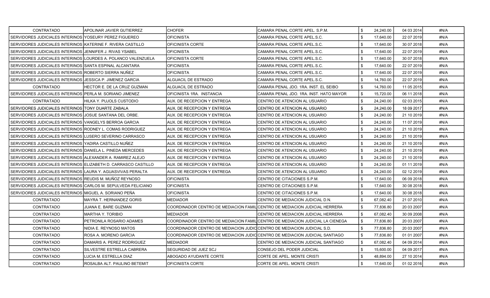| <b>CONTRATADO</b>                                              | APOLINAR JAVIER GUTIERREZ    | <b>CHOFER</b>                                                               | CAMARA PENAL CORTE APEL. S.P.M.                                               | \$<br>24,240.00 | 04 03 2014 | #N/A |
|----------------------------------------------------------------|------------------------------|-----------------------------------------------------------------------------|-------------------------------------------------------------------------------|-----------------|------------|------|
| SERVIDORES JUDICIALES INTERINOS IYOSEURY PEREZ FIGUEREO        |                              | <b>OFICINISTA</b>                                                           | CAMARA PENAL CORTE APEL.S.C.                                                  | \$<br>17,640.00 | 22 07 2019 | #N/A |
| SERVIDORES JUDICIALES INTERINOS KATERINE F. RIVERA CASTILLO    |                              | OFICINISTA CORTE                                                            | CAMARA PENAL CORTE APEL.S.C.                                                  | 17,640.00       | 30 07 2018 | #N/A |
| SERVIDORES JUDICIALES INTERINOS JJENNIFER J. RIVAS YSABEL      |                              | <b>OFICINISTA</b>                                                           | CAMARA PENAL CORTE APEL.S.C.                                                  | \$<br>17,640.00 | 22 07 2019 | #N/A |
| SERVIDORES JUDICIALES INTERINOS LOURDES A. POLANCO VALENZUELA  |                              | OFICINISTA CORTE                                                            | CAMARA PENAL CORTE APEL.S.C.                                                  | \$<br>17,640.00 | 30 07 2018 | #N/A |
| SERVIDORES JUDICIALES INTERINOS ISANTA ESPINAL ALCANTARA       |                              | <b>OFICINISTA</b>                                                           | CAMARA PENAL CORTE APEL.S.C.                                                  | \$<br>17,640.00 | 22 07 2019 | #N/A |
| SERVIDORES JUDICIALES INTERINOS ROBERTO SIERRA NUÑEZ           |                              | <b>OFICINISTA</b>                                                           | CAMARA PENAL CORTE APEL.S.C.                                                  | \$<br>17,640.00 | 22 07 2019 | #N/A |
| SERVIDORES JUDICIALES INTERINOS JJESSICA P. JIMENEZ GARCIA     |                              | ALGUACIL DE ESTRADO                                                         | CAMARA PENAL CORTE APEL.S.C.                                                  | 14,760.00       | 22 07 2019 | #N/A |
| CONTRATADO                                                     | HECTOR E. DE LA CRUZ GUZMAN  | ALGUACIL DE ESTRADO                                                         | CAMARA PENAL JDO. 1RA. INST. EL SEIBO                                         | \$<br>14,760.00 | 11 05 2015 | #N/A |
| SERVIDORES JUDICIALES INTERINOS PERLA M. SORIANO JIMENEZ       |                              | OFICINISTA 1RA. INSTANCIA                                                   | CAMARA PENAL JDO. 1RA. INST. HATO MAYOR                                       | \$<br>15,720.00 | 06 11 2018 | #N/A |
| CONTRATADO                                                     | HILKA Y. PUJOLS CUSTODIO     | AUX. DE RECEPCION Y ENTREGA                                                 | CENTRO DE ATENCION AL USUARIO                                                 | \$<br>24,240.00 | 02 03 2015 | #N/A |
| SERVIDORES JUDICIALES INTERINOS TONY DUARTE ZABALA             |                              | AUX. DE RECEPCION Y ENTREGA                                                 | CENTRO DE ATENCION AL USUARIO                                                 | \$<br>24,240.00 | 18 09 2017 | #N/A |
| SERVIDORES JUDICIALES INTERINOS JJOSUE SANTANA DEL ORBE.       |                              | AUX. DE RECEPCION Y ENTREGA                                                 | CENTRO DE ATENCION AL USUARIO                                                 | 24,240.00       | 21 10 2019 | #N/A |
| SERVIDORES JUDICIALES INTERINOS VANGELYS BERROA GARCIA         |                              | AUX. DE RECEPCION Y ENTREGA                                                 | CENTRO DE ATENCION AL USUARIO                                                 | \$<br>24,240.00 | 11 07 2019 | #N/A |
| SERVIDORES JUDICIALES INTERINOS RODNEY L. COMAS RODRIGUEZ      |                              | AUX. DE RECEPCION Y ENTREGA                                                 | CENTRO DE ATENCION AL USUARIO                                                 | 24.240.00       | 21 10 2019 | #N/A |
| SERVIDORES JUDICIALES INTERINOS LUSERO SEVERINO CARRASCO       |                              | AUX. DE RECEPCION Y ENTREGA                                                 | CENTRO DE ATENCION AL USUARIO                                                 | \$<br>24,240.00 | 21 10 2019 | #N/A |
| SERVIDORES JUDICIALES INTERINOS YADIRA CASTILLO NUÑEZ          |                              | AUX. DE RECEPCION Y ENTREGA                                                 | CENTRO DE ATENCION AL USUARIO                                                 | \$<br>24,240.00 | 21 10 2019 | #N/A |
| SERVIDORES JUDICIALES INTERINOS IDANIELA L. PINEDA MERCEDES    |                              | AUX. DE RECEPCION Y ENTREGA                                                 | CENTRO DE ATENCION AL USUARIO                                                 | 24,240.00       | 21 10 2019 | #N/A |
| SERVIDORES JUDICIALES INTERINOS ALEXANDER A. RAMIREZ ALEJO     |                              | AUX. DE RECEPCION Y ENTREGA                                                 | CENTRO DE ATENCION AL USUARIO                                                 | \$<br>24,240.00 | 21 10 2019 | #N/A |
| SERVIDORES JUDICIALES INTERINOS ELIZABETH D. CARRASCO CASTILLO |                              | AUX. DE RECEPCION Y ENTREGA                                                 | CENTRO DE ATENCION AL USUARIO                                                 | 24,240.00       | 01 11 2019 | #N/A |
| SERVIDORES JUDICIALES INTERINOS ILAURA Y. AGUASVIVAS PERALTA   |                              | AUX. DE RECEPCION Y ENTREGA                                                 | CENTRO DE ATENCION AL USUARIO                                                 | \$<br>24,240.00 | 02 12 2019 | #N/A |
| SERVIDORES JUDICIALES INTERINOS REUDIS M. MUÑOZ REYNOSO        |                              | <b>OFICINISTA</b>                                                           | CENTRO DE CITACIONES S.P.M.                                                   | \$<br>17,640.00 | 06 09 2018 | #N/A |
| SERVIDORES JUDICIALES INTERINOS ICARLOS M. SEPULVEDA FELICIANO |                              | <b>OFICINISTA</b>                                                           | CENTRO DE CITACIONES S.P.M.                                                   | 17,640.00       | 30 08 2018 | #N/A |
| SERVIDORES JUDICIALES INTERINOS MIGUEL A. SORIANO PEÑA         |                              | <b>OFICINISTA</b>                                                           | CENTRO DE CITACIONES S.P.M.                                                   | \$<br>17,640.00 | 30 08 2018 | #N/A |
| <b>CONTRATADO</b>                                              | MAYRA T. HERNANDEZ GORIS     | MEDIADOR                                                                    | CENTRO DE MEDIACION JUDICIAL D.N.                                             | 67.082.40       | 21 07 2010 | #N/A |
| <b>CONTRATADO</b>                                              | JUANA E. BARE GUZMAN         | COORDINADOR CENTRO DE MEDIACION FAMILICENTRO DE MEDIACION JUDICIAL HERRERA  |                                                                               | \$<br>77,836.80 | 20 03 2007 | #N/A |
| <b>CONTRATADO</b>                                              | MARTHA Y. TORIBIO            | <b>MEDIADOR</b>                                                             | CENTRO DE MEDIACION JUDICIAL HERRERA                                          | \$<br>67,082.40 | 30 09 2008 | #N/A |
| <b>CONTRATADO</b>                                              | PETRONILA ROSARIO ADAMES     |                                                                             | COORDINADOR CENTRO DE MEDIACION FAMILICENTRO DE MEDIACION JUDICIAL LA CIENEGA | \$<br>77,836.80 | 20 03 2007 | #N/A |
| <b>CONTRATADO</b>                                              | NIDIA E. REYNOSO MATOS       | COORDINADOR CENTRO DE MEDIACION JUDICICENTRO DE MEDIACION JUDICIAL S.D.     |                                                                               | \$<br>77.836.80 | 20 03 2007 | #N/A |
| <b>CONTRATADO</b>                                              | ROSA A. MORENO GARCIA        | COORDINADOR CENTRO DE MEDIACION JUDIC CENTRO DE MEDIACION JUDICIAL SANTIAGO |                                                                               | \$<br>77,836.80 | 01 01 2007 | #N/A |
| <b>CONTRATADO</b>                                              | DAMARIS A. PEREZ RODRIGUEZ   | <b>MEDIADOR</b>                                                             | CENTRO DE MEDIACION JUDICIAL SANTIAGO                                         | \$<br>67,082.40 | 04 09 2014 | #N/A |
| <b>CONTRATADO</b>                                              | SILVESTRE ESTRELLA CABRERA   | SEGURIDAD DE JUEZ SCJ                                                       | CONSEJO DEL PODER JUDICIAL                                                    | \$<br>15,600.00 | 04 09 2017 | #N/A |
| <b>CONTRATADO</b>                                              | LUCIA M. ESTRELLA DIAZ       | ABOGADO AYUDANTE CORTE                                                      | CORTE DE APEL. MONTE CRISTI                                                   | 48,894.00       | 27 10 2014 | #N/A |
| <b>CONTRATADO</b>                                              | ROSALBA ALT. PAULINO BETEMIT | <b>OFICINISTA CORTE</b>                                                     | CORTE DE APEL. MONTE CRISTI                                                   | \$<br>17,640.00 | 01 02 2016 | #N/A |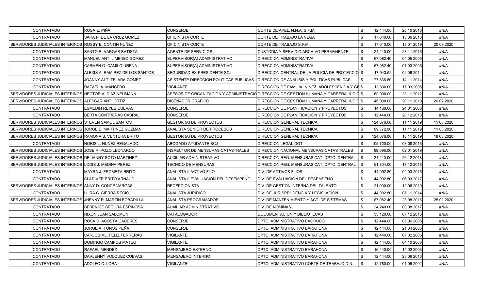| CONTRATADO                                                 | ROSA E. PIÑA                    | <b>CONSERJE</b>                          | CORTE DE APEL. N.N.A. S.F.M.                                                          |      | 12,444.00  | 26 10 2016 | #N/A        |
|------------------------------------------------------------|---------------------------------|------------------------------------------|---------------------------------------------------------------------------------------|------|------------|------------|-------------|
| CONTRATADO                                                 | SARA P. DE LA CRUZ GOMEZ        | OFICINISTA CORTE                         | CORTE DE TRABAJO LA VEGA                                                              |      | 17,640.00  | 13 06 2016 | #N/A        |
| SERVIDORES JUDICIALES INTERINOS ROSSY E. CONTIN NUÑEZ      |                                 | OFICINISTA CORTE                         | CORTE DE TRABAJO S.F.M.                                                               |      | 17,640.00  | 18 01 2019 | 20 09 20 20 |
| CONTRATADO                                                 | SANTO R. VARGAS BATISTA         | <b>AGENTE DE SERVICIOS</b>               | CUSTODIA Y SERVICIO ARCHIVO PERMANENTE                                                | - \$ | 24,240.00  | 28 11 2016 | #N/A        |
| <b>CONTRATADO</b>                                          | MANUEL ANT. JIMENEZ GOMEZ       | SUPERVISOR(A) ADMINISTRATIVO             | DIRECCION ADMINISTRATIVA                                                              |      | 67.082.40  | 04 05 2005 | #N/A        |
| CONTRATADO                                                 | CARMEN G. CAMILO UREÑA          | SUPERVISOR(A) ADMINISTRATIVO             | DIRECCION ADMINISTRATIVA                                                              |      | 67,082.40  | 01 03 2006 | #N/A        |
| <b>CONTRATADO</b>                                          | ALEXIS A. RAMIREZ DE LOS SANTOS | SEGURIDAD EX-PRESIDENTE SCJ              | DIRECCION CENTRAL DE LA POLICIA DE PROTECCIO $\,$ \$                                  |      | 17,943.52  | 02 06 2014 | #N/A        |
| CONTRATADO                                                 | JOANNY ALT. TEJADA GOMEZ        | ASISTENTE DIRECCION POLITICAS PUBLICAS   | DIRECCION DE ANALISIS Y POLITICAS PUBLICAS                                            |      | 77,836.80  | 14 11 2014 | #N/A        |
| <b>CONTRATADO</b>                                          | <b>RAFAEL A. MANCEBO</b>        | <b>VIGILANTE</b>                         | DIRECCION DE FAMILIA, NIÑEZ, ADOLESCENCIA Y GE \$                                     |      | 13,800.00  | 17 03 2005 | #N/A        |
| SERVIDORES JUDICIALES INTERINOS HECTOR A. DIAZ NEUMANN     |                                 |                                          | ASESOR DE ORGANIZACION Y ADMINISTRACIO DIRECCION DE GESTION HUMANA Y CARRERA JUDIO \$ |      | 60,000.00  | 23 11 2012 | #N/A        |
| SERVIDORES JUDICIALES INTERINOS ALESCAR ANT. ORTIZ         |                                 | DISEÑADOR GRAFICO                        | DIRECCION DE GESTION HUMANA Y CARRERA JUDIO \$                                        |      | 46,930.00  | 20 11 2019 | 20 02 2020  |
| CONTRATADO                                                 | <b>ESMEDIN REYES CUEVAS</b>     | <b>CONSERJE</b>                          | DIRECCION DE PLANIFICACION Y PROYECTOS                                                | - \$ | 14,160.00  | 24 01 2006 | #N/A        |
| CONTRATADO                                                 | BERTA CONTRERAS CABRAL          | CONSERJE                                 | DIRECCION DE PLANIFICACION Y PROYECTOS                                                |      | 12,444.00  | 28 12 2016 | #N/A        |
| SERVIDORES JUDICIALES INTERINOS STEVEN SAMOL SANTOS        |                                 | <b>GESTOR (A) DE PROYECTOS</b>           | DIRECCION GENERAL TECNICA                                                             |      | 124,676.00 | 11 11 2019 | 11 03 2020  |
| SERVIDORES JUDICIALES INTERINOS JORGE E. MARTINEZ GUZMAN   |                                 | ANALISTA SENIOR DE PROCESOS              | DIRECCION GENERAL TECNICA                                                             |      | 69,372.00  | 11 11 2019 | 11 03 2020  |
| SERVIDORES JUDICIALES INTERINOS RAMONA S. VENTURA BRITO    |                                 | <b>GESTOR (A) DE PROYECTOS</b>           | DIRECCION GENERAL TECNICA                                                             |      | 124,676.00 | 18 11 2019 | 18 03 2020  |
| CONTRATADO                                                 | NORIS L. NUÑEZ REGALADO         | ABOGADO AYUDANTE SCJ                     | <b>DIRECCION LEGAL DGT</b>                                                            |      | 105,720.00 | 08 08 2016 | #N/A        |
| SERVIDORES JUDICIALES INTERINOS JJOSE R. POZO LEONARDO     |                                 | <b>INSPECTOR DE MENSURAS CATASTRALES</b> | DIRECCION NACIONAL MENSURAS CATASTRALES                                               |      | 69,696.00  | 02 01 2019 | #N/A        |
| SERVIDORES JUDICIALES INTERINOS DELIANNY SOTO MARTINEZ     |                                 | <b>AUXILIAR ADMINISTRATIVO</b>           | DIRECCION REG. MENSURAS CAT. DPTO. CENTRAL                                            | -\$  | 24,240.00  | 26 12 2018 | #N/A        |
| SERVIDORES JUDICIALES INTERINOS LODIS J. MEDINA PEREZ      |                                 | TECNICO DE MENSURAS                      | DIRECCION REG. MENSURAS CAT. DPTO. CENTRAL                                            |      | 51,804.00  | 17 12 2018 | #N/A        |
| CONTRATADO                                                 | MAYRA J. FROMETA BRITO          | ANALISTA II ACTIVO FIJO                  | DIV. DE ACTIVOS FIJOS                                                                 |      | 44,092.80  | 02 03 2015 | #N/A        |
| CONTRATADO                                                 | <b>CLARIVER BRITO ARNAUD</b>    | ANALISTA II EVALUACION DEL DESEMPEÑO     | IDIV. DE EVALUACION DEL DESEMPEÑO                                                     | \$   | 44,092.80  | 06 03 2017 | #N/A        |
| SERVIDORES JUDICIALES INTERINOS ANNY D. CONCE VARGAS       |                                 | <b>RECEPCIONISTA</b>                     | DIV. DE GESTION INTERNA DEL TALENTO                                                   |      | 21,000.00  | 12 06 2019 | #N/A        |
| <b>CONTRATADO</b>                                          | LLIRA C. SIERRA RECIO           | ANALISTA JURIDICO                        | DIV. DE JURISPRUDENCIA Y LEGISLACION                                                  | - \$ | 44,902.80  | 07 11 2014 | #N/A        |
| SERVIDORES JUDICIALES INTERINOS JHENNY R. MARTIN BOBADILLA |                                 | ANALISTA PROGRAMADOR                     | DIV. DE MANTENIMIENTO Y ACT. DE SISTEMAS                                              |      | 67,082.40  | 23 08 2016 | 25 02 2020  |
| CONTRATADO                                                 | <b>BERENICE SEGURA ESPINOSA</b> | AUXILIAR ADMINISTRATIVO                  | DIV. DE NOMINAS                                                                       | - \$ | 24,240.00  | 03 08 2017 | #N/A        |
| CONTRATADO                                                 | NIXON JUAN SALOMON              | CATALOGADOR                              | DOCUMENTACION Y BIBLIOTECAS                                                           | \$   | 33,120.00  | 07 12 2016 | #N/A        |
| <b>CONTRATADO</b>                                          | ROSA D. ACOSTA CACERES          | <b>CONSERJE</b>                          | DPTO. ADMINISTRATIVO BAORUCO                                                          |      | 12,444.00  | 05 06 2006 | #N/A        |
| CONTRATADO                                                 | JORGE A. TONOS PEÑA             | <b>CONSERJE</b>                          | DPTO. ADMINISTRATIVO BARAHONA                                                         |      | 12,444.00  | 21 04 2005 | #N/A        |
| CONTRATADO                                                 | CARLOS ML. FELIZ FERRERAS       | <b>VIGILANTE</b>                         | DPTO. ADMINISTRATIVO BARAHONA                                                         |      | 12,444.00  | 07 02 2006 | #N/A        |
| CONTRATADO                                                 | DOMINGO CAMPOS MATEO            | VIGILANTE                                | DPTO. ADMINISTRATIVO BARAHONA                                                         | \$   | 12,444.00  | 04 10 2006 | #N/A        |
| CONTRATADO                                                 | RAFAEL MENDEZ                   | MENSAJERO EXTERNO                        | DPTO. ADMINISTRATIVO BARAHONA                                                         |      | 16,440.00  | 14 02 2003 | #N/A        |
| <b>CONTRATADO</b>                                          | DARLENNY VOLQUEZ CUEVAS         | MENSAJERO INTERNO                        | DPTO. ADMINISTRATIVO BARAHONA                                                         |      | 12,444.00  | 23 06 2016 | #N/A        |
| CONTRATADO                                                 | ADOLFO C. LORA                  | <b>VIGILANTE</b>                         | DPTO. ADMINISTRATIVO CORTE DE TRABAJO D.N.                                            |      | 12,780.00  | 01 05 2002 | #N/A        |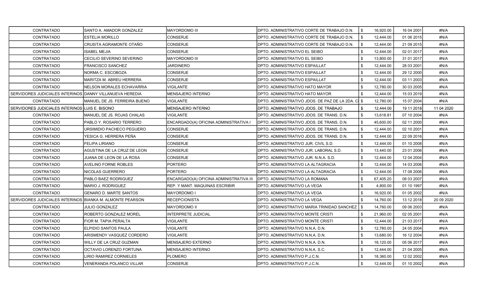| CONTRATADO                                                | SANTO A. AMADOR GONZALEZ      | <b>MAYORDOMO III</b>                    | DPTO. ADMINISTRATIVO CORTE DE TRABAJO D.N.         | \$  | 16,920.00 | 16 04 2001 | #N/A        |
|-----------------------------------------------------------|-------------------------------|-----------------------------------------|----------------------------------------------------|-----|-----------|------------|-------------|
| CONTRATADO                                                | <b>ESTELIA MORILLO</b>        | CONSERJE                                | IDPTO. ADMINISTRATIVO CORTE DE TRABAJO D.N.        | \$  | 12,444.00 | 01 06 2015 | #N/A        |
| <b>CONTRATADO</b>                                         | CRUSITA AGRAMONTE OTAÑO       | CONSERJE                                | DPTO. ADMINISTRATIVO CORTE DE TRABAJO D.N.         | -\$ | 12,444.00 | 21 09 2015 | #N/A        |
| <b>CONTRATADO</b>                                         | <b>ISABEL MEJIA</b>           | CONSERJE                                | DPTO. ADMINISTRATIVO EL SEIBO                      | \$  | 12,444.00 | 02 01 2017 | #N/A        |
| <b>CONTRATADO</b>                                         | CECILIO SEVERINO SEVERINO     | MAYORDOMO III                           | DPTO. ADMINISTRATIVO EL SEIBO                      | \$  | 13,800.00 | 31 01 2017 | #N/A        |
| <b>CONTRATADO</b>                                         | <b>FRANCISCO SANCHEZ</b>      | JARDINERO                               | DPTO. ADMINISTRATIVO ESPAILLAT                     | \$  | 12,444.00 | 28 03 2001 | #N/A        |
| <b>CONTRATADO</b>                                         | NORMA C. ESCOBOZA             | <b>CONSERJE</b>                         | <b>DPTO. ADMINISTRATIVO ESPAILLAT</b>              | \$  | 12,444.00 | 29 12 2000 | #N/A        |
| <b>CONTRATADO</b>                                         | MARITZA M. ABREU HERRERA      | CONSERJE                                | IDPTO. ADMINISTRATIVO ESPAILLAT                    |     | 12,444.00 | 03 11 2003 | #N/A        |
| <b>CONTRATADO</b>                                         | NELSON MORALES ECHAVARRIA     | VIGILANTE                               | DPTO. ADMINISTRATIVO HATO MAYOR                    |     | 12,780.00 | 30 03 2005 | #N/A        |
| SERVIDORES JUDICIALES INTERINOS DANNY VILLANUEVA HEREDIA  |                               | <b>MENSAJERO INTERNO</b>                | DPTO. ADMINISTRATIVO HATO MAYOR                    | \$  | 12,444.00 | 15 03 2019 | #N/A        |
| <b>CONTRATADO</b>                                         | MANUEL DE JS. FERREIRA BUENO  | VIGILANTE                               | DPTO. ADMINISTRATIVO JDOS. DE PAZ DE LA 2DA. CI \$ |     | 12,780.00 | 15 07 2004 | #N/A        |
| SERVIDORES JUDICIALES INTERINOS LUIS E. BISONO            |                               | MENSAJERO INTERNO                       | IDPTO. ADMINISTRATIVO JDOS. DE TRABAJO             | \$  | 12,444.00 | 19 11 2018 | 11 04 2020  |
| <b>CONTRATADO</b>                                         | MANUEL DE JS. ROJAS CHALAS    | VIGILANTE                               | DPTO. ADMINISTRATIVO JDOS. DE TRANS. D.N.          | -\$ | 13,618.81 | 07 10 2004 | #N/A        |
| <b>CONTRATADO</b>                                         | PABLO Y. ROSARIO TERRERO      | ENCARGADO(A) OFICINA ADMINISTRATIVA I   | IDPTO. ADMINISTRATIVO JDOS. DE TRANS. D.N.         | -\$ | 45,600.00 | 02 11 2000 | #N/A        |
| <b>CONTRATADO</b>                                         | URSIMIDIO PACHECO PEGUERO     | CONSERJE                                | IDPTO. ADMINISTRATIVO JDOS. DE TRANS. D.N.         | \$  | 12,444.00 | 02 10 2001 | #N/A        |
| <b>CONTRATADO</b>                                         | YESICA G. HERRERA PEÑA        | CONSERJE                                | DPTO. ADMINISTRATIVO JDOS. DE TRANS. D.N.          | \$  | 12,444.00 | 22 09 2016 | #N/A        |
| <b>CONTRATADO</b>                                         | <b>IFELIPA LIRIANO</b>        | <b>CONSERJE</b>                         | DPTO. ADMINISTRATIVO JUR. CIVIL S.D.               | \$  | 12,444.00 | 01 10 2008 | #N/A        |
| <b>CONTRATADO</b>                                         | AGUSTINA DE LA CRUZ DE LEON   | CONSERJE                                | DPTO. ADMINISTRATIVO JUR. LABORAL S.D.             |     | 13,440.00 | 23 01 2006 | #N/A        |
| <b>CONTRATADO</b>                                         | JUANA DE LEON DE LA ROSA      | CONSERJE                                | DPTO. ADMINISTRATIVO JUR. N.N.A. S.D.              |     | 12,444.00 | 12 04 2004 | #N/A        |
| CONTRATADO                                                | <b>AVELINO FORNE ROBLES</b>   | PORTERO                                 | DPTO. ADMINISTRATIVO LA ALTAGRACIA                 | \$  | 12,444.00 | 14 03 2006 | #N/A        |
| <b>CONTRATADO</b>                                         | <b>NICOLAS GUERRERO</b>       | <b>PORTERO</b>                          | DPTO. ADMINISTRATIVO LA ALTAGRACIA                 | \$  | 12,444.00 | 17 08 2006 | #N/A        |
| <b>CONTRATADO</b>                                         | PABLO BAEZ RODRIGUEZ          | ENCARGADO(A) OFICINA ADMINISTRATIVA III | <b>IDPTO. ADMINISTRATIVO LA ROMANA</b>             | \$  | 67,405.20 | 08 03 2007 | #N/A        |
| <b>CONTRATADO</b>                                         | <b>MARIO J. RODRIGUEZ</b>     | REP. Y MANT. MAQUINAS ESCRIBIR          | DPTO. ADMINISTRATIVO LA VEGA                       |     | 4,800.00  | 01 10 1997 | #N/A        |
| <b>CONTRATADO</b>                                         | <b>GENARO D. MARTE SANTOS</b> | MAYORDOMO I                             | IDPTO. ADMINISTRATIVO LA VEGA                      |     | 16,920.00 | 01 05 2002 | #N/A        |
| SERVIDORES JUDICIALES INTERINOS BIANKA M. ALMONTE PEARSON |                               | RECEPCIONISTA                           | DPTO. ADMINISTRATIVO LA VEGA                       |     | 14,760.00 | 13 12 2018 | 20 09 20 20 |
| <b>CONTRATADO</b>                                         | <b>JULIO GONZALEZ</b>         | <b>MAYORDOMO II</b>                     | DPTO. ADMINISTRATIVO MARIA TRINIDAD SANCHEZ   \$   |     | 14,760.00 | 09 06 2003 | #N/A        |
| <b>CONTRATADO</b>                                         | IROBERTO GONZALEZ MOREL       | INTERPRETE JUDICIAL                     | IDPTO. ADMINISTRATIVO MONTE CRISTI                 |     | 21,960.00 | 02 05 2001 | #N/A        |
| <b>CONTRATADO</b>                                         | <b>FIOR M. TAPIA PERALTA</b>  | VIGILANTE                               | DPTO. ADMINISTRATIVO MONTE CRISTI                  |     | 12,444.00 | 21 03 2017 | #N/A        |
| <b>CONTRATADO</b>                                         | <b> ELPIDIO SANTOS PAULA</b>  | VIGILANTE                               | DPTO. ADMINISTRATIVO N.N.A. D.N.                   |     | 12,780.00 | 24 05 2004 | #N/A        |
| CONTRATADO                                                | ARISMENDY VASQUEZ CORDERO     | <b>VIGILANTE</b>                        | DPTO. ADMINISTRATIVO N.N.A. D.N.                   | \$  | 13,680.00 | 16 12 2004 | #N/A        |
| <b>CONTRATADO</b>                                         | WILLY DE LA CRUZ GUZMAN       | MENSAJERO EXTERNO                       | DPTO, ADMINISTRATIVO N.N.A. D.N.                   | \$  | 18,120.00 | 05 06 2017 | #N/A        |
| CONTRATADO                                                | OCTAVIO LORENZO FORTUNA       | <b>MENSAJERO INTERNO</b>                | DPTO. ADMINISTRATIVO N.N.A. S.C.                   | \$  | 12,444.00 | 21 04 2005 | #N/A        |
| CONTRATADO                                                | IRIO RAMIREZ CORNIELES        | PLOMERO                                 | IDPTO. ADMINISTRATIVO P.J.C.N.                     |     | 18,360.00 | 12 02 2002 | #N/A        |
| <b>CONTRATADO</b>                                         | VENERANDA POLANCO VILLAR      | <b>CONSERJE</b>                         | DPTO. ADMINISTRATIVO P.J.C.N.                      |     | 12,444.00 | 01 10 2002 | #N/A        |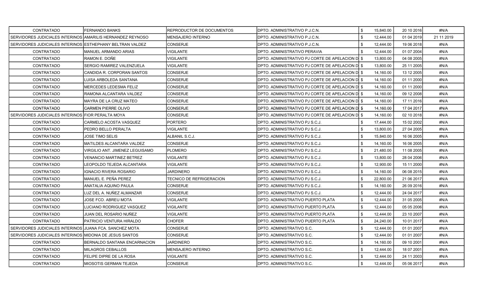| <b>CONTRATADO</b>                                           | FERNANDO BANKS                   | <b>REPRODUCTOR DE DOCUMENTOS</b> | DPTO. ADMINISTRATIVO P.J.C.N.                          | \$   | 15,840.00 | 20 10 2016 | #N/A       |
|-------------------------------------------------------------|----------------------------------|----------------------------------|--------------------------------------------------------|------|-----------|------------|------------|
| SERVIDORES JUDICIALES INTERINOS IAMARILIS HERNANDEZ REYNOSO |                                  | <b>MENSAJERO INTERNO</b>         | DPTO. ADMINISTRATIVO P.J.C.N.                          | -\$  | 12,444.00 | 01 04 2019 | 21 11 2019 |
| SERVIDORES JUDICIALES INTERINOS ESTHEPHANY BELTRAN VALDEZ   |                                  | <b>CONSERJE</b>                  | DPTO. ADMINISTRATIVO P.J.C.N.                          |      | 12,444.00 | 19 06 2018 | #N/A       |
| <b>CONTRATADO</b>                                           | <b>MANUEL ARMANDO ARIAS</b>      | VIGILANTE                        | DPTO. ADMINISTRATIVO PERAVIA                           |      | 12,444.00 | 01 07 2004 | #N/A       |
| CONTRATADO                                                  | RAMON E. DOÑE                    | <b>VIGILANTE</b>                 | DPTO. ADMINISTRATIVO PJ CORTE DE APELACION D $\mid$ \$ |      | 13,800.00 | 04 08 2005 | #N/A       |
| <b>CONTRATADO</b>                                           | SERGIO RAMIREZ VALENZUELA        | <b>VIGILANTE</b>                 | DPTO. ADMINISTRATIVO PJ CORTE DE APELACION DI \$       |      | 13,800.00 | 25 11 2005 | #N/A       |
| CONTRATADO                                                  | CANDIDA R. CORPORAN SANTOS       | <b>CONSERJE</b>                  | DPTO. ADMINISTRATIVO PJ CORTE DE APELACION DI \$       |      | 14,160.00 | 13 12 2005 | #N/A       |
| <b>CONTRATADO</b>                                           | LUISA ARBOLEDA SANTANA           | <b>CONSERJE</b>                  | DPTO. ADMINISTRATIVO PJ CORTE DE APELACION DI \$       |      | 14,160.00 | 01 11 2000 | #N/A       |
| <b>CONTRATADO</b>                                           | MERCEDES LEDESMA FELIZ           | <b>CONSERJE</b>                  | DPTO. ADMINISTRATIVO PJ CORTE DE APELACION D $\mid$ \$ |      | 14,160.00 | 01 11 2000 | #N/A       |
| <b>CONTRATADO</b>                                           | RAMONA ALCANTARA VALDEZ          | <b>CONSERJE</b>                  | DPTO. ADMINISTRATIVO PJ CORTE DE APELACION DI \$       |      | 14,160.00 | 09 12 2008 | #N/A       |
| <b>CONTRATADO</b>                                           | MAYRA DE LA CRUZ MATEO           | <b>CONSERJE</b>                  | DPTO. ADMINISTRATIVO PJ CORTE DE APELACION DI \$       |      | 14,160.00 | 17 11 2016 | #N/A       |
| CONTRATADO                                                  | <b>CARMEN PIERRE OLIVO</b>       | <b>CONSERJE</b>                  | DPTO. ADMINISTRATIVO PJ CORTE DE APELACION DI \$       |      | 14,160.00 | 17 04 2017 | #N/A       |
| SERVIDORES JUDICIALES INTERINOS FIOR PERALTA MOYA           |                                  | <b>CONSERJE</b>                  | DPTO. ADMINISTRATIVO PJ CORTE DE APELACION D $\mid$ \$ |      | 14,160.00 | 02 10 2018 | #N/A       |
| CONTRATADO                                                  | CARMELO ACOSTA VASQUEZ           | <b>PORTERO</b>                   | DPTO. ADMINISTRATIVO PJ S.C.J.                         |      | 17,444.00 | 15 02 2002 | #N/A       |
| <b>CONTRATADO</b>                                           | PEDRO BELLO PERALTA              | <b>VIGILANTE</b>                 | DPTO. ADMINISTRATIVO PJ S.C.J.                         |      | 13,800.00 | 27 04 2005 | #N/A       |
| <b>CONTRATADO</b>                                           | JOSE TIMO SELIS                  | ALBANIL S.C.J.                   | DPTO. ADMINISTRATIVO PJ S.C.J.                         | - \$ | 15,840.00 | 16 06 2005 | #N/A       |
| CONTRATADO                                                  | <b>MATILDES ALCANTARA VALDEZ</b> | <b>CONSERJE</b>                  | DPTO. ADMINISTRATIVO PJ S.C.J.                         | \$   | 14,160.00 | 16 06 2005 | #N/A       |
| CONTRATADO                                                  | VIRGILIO ANT. JIMENEZ LEGUISAMO  | PLOMERO                          | DPTO. ADMINISTRATIVO PJ S.C.J.                         |      | 21,480.00 | 11 08 2005 | #N/A       |
| <b>CONTRATADO</b>                                           | <b>VENANCIO MARTINEZ BETREZ</b>  | <b>VIGILANTE</b>                 | DPTO. ADMINISTRATIVO PJ S.C.J.                         | - \$ | 13,800.00 | 28 04 2006 | #N/A       |
| <b>CONTRATADO</b>                                           | EOPOLDO TEJEDA ALCANTARA         | VIGILANTE                        |                                                        |      | 12,900.00 | 15 11 2000 | #N/A       |
|                                                             |                                  | <b>JARDINERO</b>                 | DPTO. ADMINISTRATIVO PJ S.C.J.                         |      |           |            | #N/A       |
| CONTRATADO                                                  | IGNACIO RIVERA ROSARIO           |                                  | DPTO. ADMINISTRATIVO PJ S.C.J.                         | \$   | 14,160.00 | 06 08 2015 |            |
| CONTRATADO                                                  | MANUEL E. PEÑA PEREZ             | <b>TECNICO DE REFRIGERACION</b>  | DPTO. ADMINISTRATIVO PJ S.C.J.                         | \$   | 22,800.00 | 21 06 2017 | #N/A       |
| <b>CONTRATADO</b>                                           | ANATALIA AQUINO PAULA            | <b>CONSERJE</b>                  | DPTO. ADMINISTRATIVO PJ S.C.J.                         |      | 14,160.00 | 26 09 2016 | #N/A       |
| CONTRATADO                                                  | LUZ DEL A. NUÑEZ ALMANZAR        | <b>CONSERJE</b>                  | DPTO. ADMINISTRATIVO PJ S.C.J.                         |      | 12,444.00 | 24 04 2017 | #N/A       |
| CONTRATADO                                                  | JOSE FCO. ABREU MOTA             | <b>VIGILANTE</b>                 | DPTO. ADMINISTRATIVO PUERTO PLATA                      |      | 12,444.00 | 31 05 2005 | #N/A       |
| <b>CONTRATADO</b>                                           | LUCIANO RODRIGUEZ VASQUEZ        | <b>VIGILANTE</b>                 | DPTO. ADMINISTRATIVO PUERTO PLATA                      | \$   | 12,444.00 | 05 05 2006 | #N/A       |
| <b>CONTRATADO</b>                                           | JUAN DEL ROSARIO NUÑEZ           | <b>VIGILANTE</b>                 | DPTO. ADMINISTRATIVO PUERTO PLATA                      | \$   | 12,444.00 | 23 10 2007 | #N/A       |
| CONTRATADO                                                  | PATRICIO VENTURA HIRALDO         | <b>CHOFER</b>                    | DPTO. ADMINISTRATIVO PUERTO PLATA                      |      | 24,240.00 | 10 01 2017 | #N/A       |
| SERVIDORES JUDICIALES INTERINOS JJUANA FCA. SANCHEZ MOTA    |                                  | <b>CONSERJE</b>                  | DPTO. ADMINISTRATIVO S.C.                              | - \$ | 12,444.00 | 01 01 2007 | #N/A       |
| SERVIDORES JUDICIALES INTERINOS MIDONIA DE JESUS SANTOS     |                                  | <b>CONSERJE</b>                  | DPTO. ADMINISTRATIVO S.C.                              |      | 12,444.00 | 01 01 2007 | #N/A       |
| CONTRATADO                                                  | BERNALDO SANTANA ENCARNACION     | <b>JARDINERO</b>                 | DPTO. ADMINISTRATIVO S.C.                              | \$   | 14,160.00 | 09 10 2001 | #N/A       |
| CONTRATADO                                                  | MILAGROS CEBALLOS                | <b>MENSAJERO INTERNO</b>         | DPTO. ADMINISTRATIVO S.C.                              | \$   | 12,444.00 | 18 07 2001 | #N/A       |
| CONTRATADO                                                  | FELIPE DIPRE DE LA ROSA          | VIGILANTE                        | DPTO. ADMINISTRATIVO S.C.                              |      | 12,444.00 | 24 11 2003 | #N/A       |
| <b>CONTRATADO</b>                                           | MIOSOTIS GERMAN TEJEDA           | <b>CONSERJE</b>                  | DPTO. ADMINISTRATIVO S.C.                              |      | 12,444.00 | 05 06 2017 | #N/A       |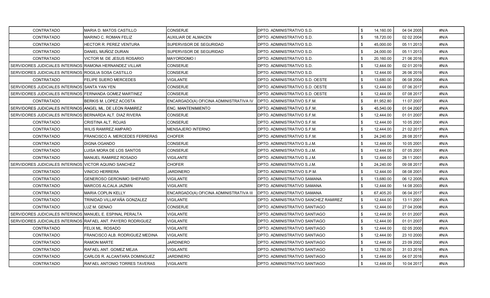| <b>CONTRATADO</b>                                            | MARIA D. MATOS CASTILLO         | CONSERJE                                | DPTO. ADMINISTRATIVO S.D.            | \$  | 14,160.00 | 04 04 2005 | #N/A |
|--------------------------------------------------------------|---------------------------------|-----------------------------------------|--------------------------------------|-----|-----------|------------|------|
| <b>CONTRATADO</b>                                            | MARINO C. ROMAN FELIZ           | AUXILIAR DE ALMACEN                     | DPTO. ADMINISTRATIVO S.D.            |     | 18,720.00 | 02 02 2004 | #N/A |
| <b>CONTRATADO</b>                                            | HECTOR R. PEREZ VENTURA         | SUPERVISOR DE SEGURIDAD                 | DPTO. ADMINISTRATIVO S.D.            |     | 45,000.00 | 05 11 2013 | #N/A |
| <b>CONTRATADO</b>                                            | DANIEL MUÑOZ DURAN              | SUPERVISOR DE SEGURIDAD                 | DPTO. ADMINISTRATIVO S.D.            | \$  | 24,000.00 | 05 11 2013 | #N/A |
| <b>CONTRATADO</b>                                            | VICTOR M. DE JESUS ROSARIO      | <b>MAYORDOMO I</b>                      | DPTO. ADMINISTRATIVO S.D.            |     | 20,160.00 | 21 06 2016 | #N/A |
| SERVIDORES JUDICIALES INTERINOS RAMONA HERNANDEZ VILLAR      |                                 | CONSERJE                                | DPTO. ADMINISTRATIVO S.D.            | \$  | 12,444.00 | 02 01 2019 | #N/A |
| SERVIDORES JUDICIALES INTERINOS                              | ROGILIA SOSA CASTILLO           | <b>CONSERJE</b>                         | DPTO. ADMINISTRATIVO S.D.            |     | 12,444.00 | 26 06 2019 | #N/A |
| CONTRATADO                                                   | FELIPE SUERO MERCEDES           | VIGILANTE                               | DPTO. ADMINISTRATIVO S.D. OESTE      |     | 13,680.00 | 06 08 2004 | #N/A |
| SERVIDORES JUDICIALES INTERINOS SANTA YAN YEN                |                                 | <b>CONSERJE</b>                         | DPTO. ADMINISTRATIVO S.D. OESTE      | \$  | 12,444.00 | 07 06 2017 | #N/A |
| SERVIDORES JUDICIALES INTERINOS FERNANDA GOMEZ MARTINEZ      |                                 | CONSERJE                                | DPTO. ADMINISTRATIVO S.D. OESTE      |     | 12,444.00 | 07 08 2017 | #N/A |
| CONTRATADO                                                   | BERKIS M. LOPEZ ACOSTA          | ENCARGADO(A) OFICINA ADMINISTRATIVA IV  | <b>DPTO. ADMINISTRATIVO S.F.M.</b>   | \$  | 81,952.80 | 11 07 2007 | #N/A |
| SERVIDORES JUDICIALES INTERINOS ANGEL ML. DE LEON RAMIREZ    |                                 | <b>ENC. MANTENIMIENTO</b>               | DPTO. ADMINISTRATIVO S.F.M.          |     | 45,540.00 | 01 04 2007 | #N/A |
| SERVIDORES JUDICIALES INTERINOS BERNARDA ALT. DIAZ RIVERA    |                                 | <b>CONSERJE</b>                         | DPTO. ADMINISTRATIVO S.F.M.          |     | 12,444.00 | 01 01 2007 | #N/A |
| CONTRATADO                                                   | CRISTINA ALT. ROJAS             | <b>CONSERJE</b>                         | DPTO. ADMINISTRATIVO S.F.M.          | \$  | 12,444.00 | 10 05 2001 | #N/A |
| <b>CONTRATADO</b>                                            | WILIS RAMIREZ AMPARO            | <b>MENSAJERO INTERNO</b>                | DPTO. ADMINISTRATIVO S.F.M.          |     | 12,444.00 | 21 02 2017 | #N/A |
| <b>CONTRATADO</b>                                            | FRANCISCO A. MERCEDES FERRERAS  | <b>CHOFER</b>                           | DPTO. ADMINISTRATIVO S.F.M.          | \$  | 24,240.00 | 28 08 2017 | #N/A |
| <b>CONTRATADO</b>                                            | <b>DIGNA OGANDO</b>             | <b>CONSERJE</b>                         | DPTO. ADMINISTRATIVO S.J.M.          |     | 12,444.00 | 10 05 2001 | #N/A |
| <b>CONTRATADO</b>                                            | LUISA MORA DE LOS SANTOS        | <b>CONSERJE</b>                         | DPTO. ADMINISTRATIVO S.J.M.          |     | 12,444.00 | 07 05 2001 | #N/A |
| <b>CONTRATADO</b>                                            | <b>MANUEL RAMIREZ ROSADO</b>    | <b>VIGILANTE</b>                        | DPTO. ADMINISTRATIVO S.J.M.          | \$  | 12,444.00 | 28 11 2001 | #N/A |
| SERVIDORES JUDICIALES INTERINOS VICTOR AQUINO SANCHEZ        |                                 | <b>CHOFER</b>                           | DPTO. ADMINISTRATIVO S.J.M.          |     | 24,240.00 | 09 08 2017 | #N/A |
| <b>CONTRATADO</b>                                            | <b>VINICIO HERRERA</b>          | <b>JARDINERO</b>                        | DPTO. ADMINISTRATIVO S.P.M.          | -\$ | 12,444.00 | 08 08 2001 | #N/A |
| CONTRATADO                                                   | GENEROSO GERONIMO SHEPARD       | VIGILANTE                               | DPTO. ADMINISTRATIVO SAMANA          | \$  | 13,680.00 | 06 12 2005 | #N/A |
| <b>CONTRATADO</b>                                            | MARCOS ALCALA JAZMIN            | <b>VIGILANTE</b>                        | DPTO. ADMINISTRATIVO SAMANA          |     | 12,444.00 | 14 08 2003 | #N/A |
| <b>CONTRATADO</b>                                            | <b>MARIA COPLIN KELLY</b>       | ENCARGADO(A) OFICINA ADMINISTRATIVA III | DPTO. ADMINISTRATIVO SAMANA          |     | 67,405.20 | 06 04 2017 | #N/A |
| <b>CONTRATADO</b>                                            | TRINIDAD VILLAFAÑA GONZALEZ     | VIGILANTE                               | DPTO. ADMINISTRATIVO SANCHEZ RAMIREZ |     | 12,444.00 | 13 11 2001 | #N/A |
| <b>CONTRATADO</b>                                            | LUZ M. GENAO                    | CONSERJE                                | DPTO. ADMINISTRATIVO SANTIAGO        | \$  | 12,444.00 | 27 04 2006 | #N/A |
| SERVIDORES JUDICIALES INTERINOS MANUEL E. ESPINAL PERALTA    |                                 | VIGILANTE                               | DPTO. ADMINISTRATIVO SANTIAGO        |     | 12,444.00 | 01 01 2007 | #N/A |
| SERVIDORES JUDICIALES INTERINOS RAFAEL ANT. PAYERO RODRIGUEZ |                                 | VIGILANTE                               | DPTO. ADMINISTRATIVO SANTIAGO        |     | 12,444.00 | 01 01 2007 | #N/A |
| <b>CONTRATADO</b>                                            | <b>FELIX ML. ROSADO</b>         | VIGILANTE                               | DPTO. ADMINISTRATIVO SANTIAGO        |     | 12,444.00 | 02 05 2000 | #N/A |
| CONTRATADO                                                   | FRANCISCO ALB. RODRIGUEZ MEDINA | VIGILANTE                               | DPTO. ADMINISTRATIVO SANTIAGO        |     | 12,444.00 | 23 10 2000 | #N/A |
| <b>CONTRATADO</b>                                            | RAMON MARTE                     | JARDINERO                               | DPTO. ADMINISTRATIVO SANTIAGO        | -\$ | 12,444.00 | 23 09 2002 | #N/A |
| CONTRATADO                                                   | RAFAEL ANT. GOMEZ MEJIA         | <b>VIGILANTE</b>                        | DPTO. ADMINISTRATIVO SANTIAGO        | \$  | 12,780.00 | 31 03 2016 | #N/A |
| <b>CONTRATADO</b>                                            | CARLOS R. ALCANTARA DOMINGUEZ   | JARDINERO                               | DPTO. ADMINISTRATIVO SANTIAGO        |     | 12,444.00 | 04 07 2016 | #N/A |
| <b>CONTRATADO</b>                                            | RAFAEL ANTONIO TORRES TAVERAS   | <b>VIGILANTE</b>                        | DPTO. ADMINISTRATIVO SANTIAGO        |     | 12,444.00 | 10 04 2017 | #N/A |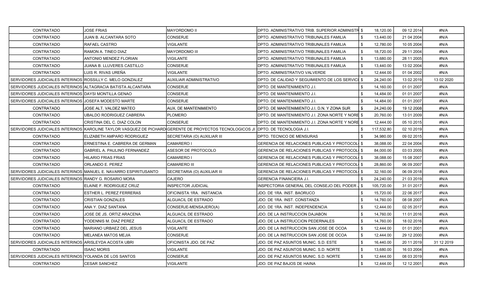| CONTRATADO                                                   | JOSE FRIAS                                                      | MAYORDOMO II                                                                                            | DPTO. ADMINISTRATIVO TRIB. SUPERIOR ADMINISTR \$ | 18,120.00       | 09 12 2014 | #N/A       |
|--------------------------------------------------------------|-----------------------------------------------------------------|---------------------------------------------------------------------------------------------------------|--------------------------------------------------|-----------------|------------|------------|
| <b>CONTRATADO</b>                                            | JUAN B. ALCANTARA SOTO                                          | CONSERJE                                                                                                | DPTO. ADMINISTRATIVO TRIBUNALES FAMILIA          | 13,440.00       | 21 04 2004 | #N/A       |
| CONTRATADO                                                   | RAFAEL CASTRO                                                   | VIGILANTE                                                                                               | DPTO. ADMINISTRATIVO TRIBUNALES FAMILIA          | 12,780.00       | 10 05 2004 | #N/A       |
| <b>CONTRATADO</b>                                            | RAMON A. TINEO DIAZ                                             | MAYORDOMO III                                                                                           | DPTO. ADMINISTRATIVO TRIBUNALES FAMILIA          | \$<br>18,720.00 | 29 11 2004 | #N/A       |
| CONTRATADO                                                   | ANTONIO MENDEZ FLORIAN                                          | VIGILANTE                                                                                               | DPTO. ADMINISTRATIVO TRIBUNALES FAMILIA          | \$<br>13,680.00 | 28 11 2005 | #N/A       |
| CONTRATADO                                                   | <b>JUANA B. LLUVERES CASTILLO</b>                               | CONSERJE                                                                                                | DPTO. ADMINISTRATIVO TRIBUNALES FAMILIA          | \$<br>13,440.00 | 13 02 2004 | #N/A       |
| CONTRATADO                                                   | LUIS R. RIVAS UREÑA                                             | <b>VIGILANTE</b>                                                                                        | DPTO. ADMINISTRATIVO VALVERDE                    | 12,444.00       | 01 04 2002 | #N/A       |
| SERVIDORES JUDICIALES INTERINOS ROSSILLY C. MELO GONZALEZ    |                                                                 | AUXILIAR ADMINISTRATIVO                                                                                 | DPTO. DE CALIDAD Y SEGUIMIENTO DE LOS SERVICI \$ | 24,240.00       | 13 02 2019 | 13 02 2020 |
| SERVIDORES JUDICIALES INTERINOS ALTAGRACIA BATISTA ALCANTARA |                                                                 | <b>CONSERJE</b>                                                                                         | DPTO. DE MANTENIMIENTO J.I.                      | 14,160.00       | 01 01 2007 | #N/A       |
| SERVIDORES JUDICIALES INTERINOS DAYSI MONTILLA GENAO         |                                                                 | CONSERJE                                                                                                | DPTO. DE MANTENIMIENTO J.I.                      | 14,484.00       | 01 01 2007 | #N/A       |
| SERVIDORES JUDICIALES INTERINOS JJOSEFA MODESTO MARTE        |                                                                 | CONSERJE                                                                                                | DPTO. DE MANTENIMIENTO J.I.                      | 14,484.00       | 01 01 2007 | #N/A       |
| CONTRATADO                                                   | JOSE ALT. VALDEZ MATEO                                          | AUX. DE MANTENIMIENTO                                                                                   | DPTO. DE MANTENIMIENTO J.I. D.N. Y ZONA SUR      | 24,240.00       | 19 12 2008 | #N/A       |
| CONTRATADO                                                   | <b>UBALDO RODRIGUEZ CABRERA</b>                                 | PLOMERO                                                                                                 | DPTO. DE MANTENIMIENTO J.I. ZONA NORTE Y NORE \$ | 20,760.00       | 13 01 2009 | #N/A       |
| CONTRATADO                                                   | CRISTINA DEL C. DIAZ COLON                                      | CONSERJE                                                                                                | DPTO. DE MANTENIMIENTO J.I. ZONA NORTE Y NORE \$ | 12,444.00       | 05 10 2015 | #N/A       |
|                                                              |                                                                 | SERVIDORES JUDICIALES INTERINOS KAROLINE TAYLOR VASQUEZ DE PICHARD GERENTE DE PROYECTOS TECNOLOGICOS JI | <b>IDPTO. DE TECNOLOGIA J.I.</b>                 | 117,532.80      | 02 10 2019 | #N/A       |
| CONTRATADO                                                   | ELIZABETH AMPARO RODRIGUEZ                                      | SECRETARIA (O) AUXILIAR III                                                                             | DPTO. TECNICO DE MENSURAS                        | 34,980.00       | 09 02 2015 | #N/A       |
| CONTRATADO                                                   | ERNESTINA E. CABRERA DE GERMAN                                  | <b>CAMARERO I</b>                                                                                       | GERENCIA DE RELACIONES PUBLICAS Y PROTOCOLI \$   | 38,088.00       | 22 04 2004 | #N/A       |
| CONTRATADO                                                   | <b>GABRIEL A. PAULINO FERNANDEZ</b>                             | ASESOR DE PROTOCOLO                                                                                     | GERENCIA DE RELACIONES PUBLICAS Y PROTOCOLI \$   | 84,000.00       | 03 03 2005 | #N/A       |
| CONTRATADO                                                   | <b>HILARIO FRIAS FRIAS</b>                                      | <b>CAMARERO I</b>                                                                                       | GERENCIA DE RELACIONES PUBLICAS Y PROTOCOLI \$   | 38,088.00       | 15 08 2007 | #N/A       |
| CONTRATADO                                                   | ORLANDO E. PEREZ                                                | CAMARERO III                                                                                            | GERENCIA DE RELACIONES PUBLICAS Y PROTOCOLÍ \$   | 28,860.00       | 06 09 2007 | #N/A       |
|                                                              | SERVIDORES JUDICIALES INTERINOS MANUEL E. NAVARRO ESPIRITUSANTO | SECRETARIA (O) AUXILIAR III                                                                             | GERENCIA DE RELACIONES PUBLICAS Y PROTOCOLI \$   | 32,160.00       | 06 09 2018 | #N/A       |
| SERVIDORES JUDICIALES INTERINOS                              | RANDY G. ROSARIO MORA                                           | <b>CAJERO</b>                                                                                           | GERENCIA FINANCIERA J.I.                         | 24,240.00       | 21 03 2019 | #N/A       |
| <b>CONTRATADO</b>                                            | ELAINE F. RODRIGUEZ CRUZ                                        | INSPECTOR JUDICIAL                                                                                      | INSPECTORIA GENERAL DEL CONSEJO DEL PODER J      | 105,720.00      | 31 01 2017 | #N/A       |
| CONTRATADO                                                   | ESTHER L. PEREZ FERRERAS                                        | OFICINISTA 1RA. INSTANCIA                                                                               | JDO. DE 1RA. INST. BAORUCO                       | 15,720.00       | 22 06 2017 | #N/A       |
| CONTRATADO                                                   | <b>CRISTIAN GONZALES</b>                                        | ALGUACIL DE ESTRADO                                                                                     | JDO. DE 1RA. INST. CONSTANZA                     | 14,760.00       | 08 08 2007 | #N/A       |
| CONTRATADO                                                   | ANA Y. DIAZ SANTANA                                             | CONSERJE-MENSAJERO(A)                                                                                   | JDO. DE 1RA. INST. INDEPENDENCIA                 | 12,444.00       | 02 05 2017 | #N/A       |
| <b>CONTRATADO</b>                                            | JOSE DE JS. ORTIZ ARACENA                                       | ALGUACIL DE ESTRADO                                                                                     | JDO. DE LA INSTRUCCION DAJABON                   | 14,760.00       | 11 01 2016 | #N/A       |
| CONTRATADO                                                   | YODENNIS M. DIAZ PEREZ                                          | ALGUACIL DE ESTRADO                                                                                     | JDO. DE LA INSTRUCCION PEDERNALES                | 14,760.00       | 18 02 2016 | #N/A       |
| <b>CONTRATADO</b>                                            | MARIANO URBAEZ DEL JESUS                                        | VIGILANTE                                                                                               | JDO. DE LA INSTRUCCION SAN JOSE DE OCOA          | \$<br>12,444.00 | 01 01 2001 | #N/A       |
| CONTRATADO                                                   | MELANEA MATOS MEJIA                                             | CONSERJE                                                                                                | JDO. DE LA INSTRUCCION SAN JOSE DE OCOA          | \$<br>12,444.00 | 29 12 2000 | #N/A       |
| SERVIDORES JUDICIALES INTERINOS ARISLEYDA ACOSTA UBRI        |                                                                 | OFICINISTA JDO. DE PAZ                                                                                  | JDO. DE PAZ ASUNTOS MUNIC. S.D. ESTE             | \$<br>16,440.00 | 20 11 2019 | 31 12 2019 |
| CONTRATADO                                                   | <b>SAAC MORIS</b>                                               | <b>VIGILANTE</b>                                                                                        | JDO. DE PAZ ASUNTOS MUNIC. S.D. NORTE            | \$<br>13,680.00 | 16 03 2004 | #N/A       |
| SERVIDORES JUDICIALES INTERINOS YOLANDA DE LOS SANTOS        |                                                                 | CONSERJE                                                                                                | JDO. DE PAZ ASUNTOS MUNIC. S.D. NORTE            | 12,444.00       | 08 03 2019 | #N/A       |
| CONTRATADO                                                   | <b>CESAR SANCHEZ</b>                                            | <b>VIGILANTE</b>                                                                                        | JDO. DE PAZ BAJOS DE HAINA                       | \$<br>12,444.00 | 12 12 2001 | #N/A       |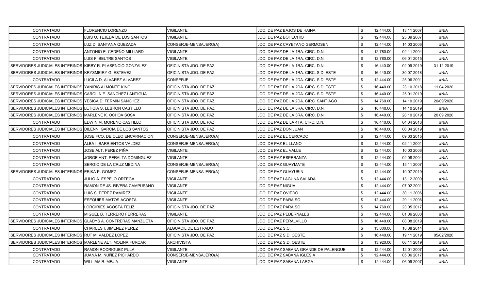| CONTRATADO                                                   | <b>FLORENCIO LORENZO</b>                                     | VIGILANTE               | JDO. DE PAZ BAJOS DE HAINA             | \$  | 12,444.00 | 13 11 2007 | #N/A        |
|--------------------------------------------------------------|--------------------------------------------------------------|-------------------------|----------------------------------------|-----|-----------|------------|-------------|
| CONTRATADO                                                   | LUIS O. TEJEDA DE LOS SANTOS                                 | <b>VIGILANTE</b>        | JDO. DE PAZ BOHECHIO                   |     | 12,444.00 | 25 09 2007 | #N/A        |
| CONTRATADO                                                   | LUZ D. SANTANA QUEZADA                                       | CONSERJE-MENSAJERO(A)   | JDO. DE PAZ CAYETANO GERMOSEN          |     | 12,444.00 | 14 03 2006 | #N/A        |
| <b>CONTRATADO</b>                                            | ANTONIO E. CEDEÑO MILLIARD                                   | VIGILANTE               | JDO. DE PAZ DE LA 1RA. CIRC. D.N.      |     | 12,780.00 | 02 11 2004 | #N/A        |
| CONTRATADO                                                   | LUIS F. BELTRE SANTOS                                        | VIGILANTE               | JDO. DE PAZ DE LA 1RA. CIRC. D.N.      | \$  | 12,780.00 | 06 01 2015 | #N/A        |
| SERVIDORES JUDICIALES INTERINOS KIRBY R. PLASENCIO GONZALEZ  |                                                              | OFICINISTA JDO. DE PAZ  | JDO. DE PAZ DE LA 1RA. CIRC. D.N.      | \$  | 16,440.00 | 02 09 2019 | 31 12 2019  |
| SERVIDORES JUDICIALES INTERINOS KRYSMEIRY G. ESTEVEZ         |                                                              | OFICINISTA JDO. DE PAZ  | JDO. DE PAZ DE LA 1RA. CIRC. S.D. ESTE |     | 16,440.00 | 30 07 2018 | #N/A        |
| CONTRATADO                                                   | LUCILA D. ALVAREZ ALVAREZ                                    | <b>CONSERJE</b>         | JDO. DE PAZ DE LA 2DA. CIRC. S.D. ESTE | \$  | 12,444.00 | 25 06 2001 | #N/A        |
| SERVIDORES JUDICIALES INTERINOS YANIRIS ALMONTE KING         |                                                              | OFICINISTA JDO. DE PAZ  | JDO. DE PAZ DE LA 2DA. CIRC. S.D. ESTE | \$  | 16,440.00 | 23 10 2018 | 11 04 2020  |
| SERVIDORES JUDICIALES INTERINOS CAROLIN E. SANCHEZ LANTIGUA  |                                                              | OFICINISTA JDO. DE PAZ  | JDO. DE PAZ DE LA 2DA. CIRC. S.D. ESTE | \$  | 16,440.00 | 25 01 2019 | #N/A        |
| SERVIDORES JUDICIALES INTERINOS YESICA D. FERMIN SANCHEZ     |                                                              | OFICINISTA JDO. DE PAZ  | JDO. DE PAZ DE LA 2DA. CIRC. SANTIAGO  |     | 14,760.00 | 14 10 2019 | 20/09/2020  |
| SERVIDORES JUDICIALES INTERINOS LETICIA S. LEBRON CASTILLO   |                                                              | OFICINISTA JDO. DE PAZ  | JDO. DE PAZ DE LA 3RA. CIRC. D.N.      |     | 16,440.00 | 14 10 2019 | #N/A        |
| SERVIDORES JUDICIALES INTERINOS MARLENE K. OCHOA SOSA        |                                                              | OFICINISTA JDO. DE PAZ  | JDO. DE PAZ DE LA 3RA. CIRC. D.N.      | \$  | 16,440.00 | 28 10 2019 | 20 09 20 20 |
| <b>CONTRATADO</b>                                            | EDWIN M. MORENO CASTILLO                                     | OFICINISTA JDO. DE PAZ  | JDO. DE PAZ DE LA 4TA. CIRC. D.N.      | \$  | 16,440.00 | 04 04 2016 | #N/A        |
| SERVIDORES JUDICIALES INTERINOS DILENNI GARCIA DE LOS SANTOS |                                                              | IOFICINISTA JDO. DE PAZ | JDO. DE PAZ DON JUAN                   | \$  | 16,440.00 | 06 04 2019 | #N/A        |
| CONTRATADO                                                   | JOSE FCO. DE OLEO ENCARNACION                                | CONSERJE-MENSAJERO(A)   | JDO. DE PAZ EL CERCADO                 | \$. | 12,444.00 | 09 03 2015 | #N/A        |
| CONTRATADO                                                   | ALBA I. BARRIENTOS VALDEZ                                    | CONSERJE-MENSAJERO(A)   | JDO. DE PAZ EL LLANO                   |     | 12,444.00 | 02 11 2001 | #N/A        |
| <b>CONTRATADO</b>                                            | JOSE ALT. PEREZ PIÑA                                         | VIGILANTE               | JDO. DE PAZ EL VALLE                   |     | 12,444.00 | 10 03 2006 | #N/A        |
| CONTRATADO                                                   | JORGE ANT. PERALTA DOMINGUEZ                                 | VIGILANTE               | JDO. DE PAZ ESPERANZA                  |     | 12,444.00 | 02 08 2004 | #N/A        |
| CONTRATADO                                                   | <b>SERGIO DE LA CRUZ MEDINA</b>                              | CONSERJE-MENSAJERO(A)   | JDO. DE PAZ GUAYMATE                   |     | 12,444.00 | 15 11 2007 | #N/A        |
| SERVIDORES JUDICIALES INTERINOS ERIKA P. GOMEZ               |                                                              | CONSERJE-MENSAJERO(A)   | JDO. DE PAZ GUAYUBIN                   |     | 12,444.00 | 19 07 2019 | #N/A        |
| CONTRATADO                                                   | <b>JULIO A. ESPEJO ORTEGA</b>                                | <b>VIGILANTE</b>        | JDO. DE PAZ LAGUNA SALADA              |     | 12,444.00 | 13 12 2000 | #N/A        |
| CONTRATADO                                                   | RAMON DE JS. RIVERA CAMPUSANO                                | VIGILANTE               | JDO. DE PAZ NIGUA                      | \$  | 12,444.00 | 07 02 2001 | #N/A        |
| CONTRATADO                                                   | LUIS S. PEREZ RAMIREZ                                        | VIGILANTE               | JDO. DE PAZ OVIEDO                     | \$  | 12,444.00 | 30 11 2006 | #N/A        |
| CONTRATADO                                                   | <b>ESEQUIER MATOS ACOSTA</b>                                 | <b>VIGILANTE</b>        | JDO. DE PAZ PARAISO                    | \$  | 12,444.00 | 29 11 2006 | #N/A        |
| CONTRATADO                                                   | LORGIRIES ACOSTA FELIZ                                       | OFICINISTA JDO. DE PAZ  | JDO. DE PAZ PARAISO                    |     | 14,760.00 | 23 05 2017 | #N/A        |
| <b>CONTRATADO</b>                                            | MIGUEL B. TERRERO FERRERAS                                   | VIGILANTE               | JDO. DE PAZ PEDERNALES                 | \$  | 12.444.00 | 01 06 2000 | #N/A        |
|                                                              | SERVIDORES JUDICIALES INTERINOS GLADYS A. CONTRERAS MANZUETA | OFICINISTA JDO. DE PAZ  | JDO. DE PAZ PERALVILLO                 | \$  | 16,440.00 | 08 08 2019 | #N/A        |
| CONTRATADO                                                   | CHARLES I. JIMENEZ PEREZ                                     | ALGUACIL DE ESTRADO     | JDO. DE PAZ S.C.                       |     | 13,800.00 | 18 08 2014 | #N/A        |
| SERVIDORES JUDICIALES INTERINOS RUT M. VALDEZ LOPEZ          |                                                              | OFICINISTA JDO. DE PAZ  | JDO. DE PAZ S.D. OESTE                 |     | 16,440.00 | 19 11 2019 | 05/02/2020  |
| SERVIDORES JUDICIALES INTERINOS MARLENE ALT. MOLINA FURCAR   |                                                              | ARCHIVISTA              | JDO. DE PAZ S.D. OESTE                 | -\$ | 13,920.00 | 06 11 2019 | #N/A        |
| CONTRATADO                                                   | RAMON RODRIGUEZ PULA                                         | VIGILANTE               | JDO. DE PAZ SABANA GRANDE DE PALENQUE  | \$  | 12,444.00 | 12 01 2007 | #N/A        |
| CONTRATADO                                                   | JUANA M. NUÑEZ PICHARDO                                      | CONSERJE-MENSAJERO(A)   | JDO. DE PAZ SABANA IGLESIA             |     | 12,444.00 | 05 06 2017 | #N/A        |
| CONTRATADO                                                   | WILLIAM R. MEJIA                                             | <b>VIGILANTE</b>        | JDO. DE PAZ SABANA LARGA               |     | 12,444.00 | 06 09 2007 | #N/A        |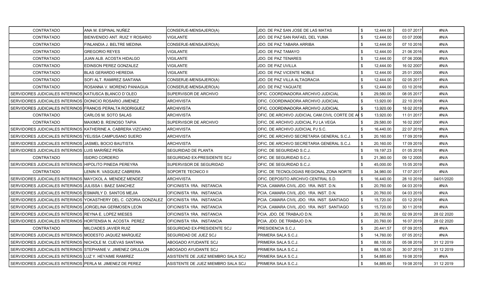| <b>CONTRATADO</b>                                              | ANA M. ESPINAL NUÑEZ                                              | CONSERJE-MENSAJERO(A)              | JDO. DE PAZ SAN JOSE DE LAS MATAS                  |      | 12,444.00 | 03 07 2017 | #N/A       |
|----------------------------------------------------------------|-------------------------------------------------------------------|------------------------------------|----------------------------------------------------|------|-----------|------------|------------|
| CONTRATADO                                                     | BIENVENIDO ANT. RUIZ Y ROSARIO                                    | <b>VIGILANTE</b>                   | JDO. DE PAZ SAN RAFAEL DEL YUMA                    | \$   | 12,444.00 | 03 07 2006 | #N/A       |
| CONTRATADO                                                     | FINLANDIA J. BELTRE MEDINA                                        | CONSERJE-MENSAJERO(A)              | JDO. DE PAZ TABARA ARRIBA                          |      | 12,444.00 | 07 10 2016 | #N/A       |
| CONTRATADO                                                     | <b>GREGORIO REYES</b>                                             | <b>VIGILANTE</b>                   | JDO. DE PAZ TAMAYO                                 | \$   | 12,444.00 | 21 06 2016 | #N/A       |
| <b>CONTRATADO</b>                                              | JUAN ALB. ACOSTA HIDALGO                                          | <b>VIGILANTE</b>                   | JDO. DE PAZ TENARES                                | -\$  | 12.444.00 | 07 06 2006 | #N/A       |
| <b>CONTRATADO</b>                                              | EDINSON PEREZ GONZALEZ                                            | VIGILANTE                          | JDO. DE PAZ UVILLA                                 | \$   | 12,444.00 | 16 02 2007 | #N/A       |
| <b>CONTRATADO</b>                                              | <b>BLAS GERARDO HEREDIA</b>                                       | <b>VIGILANTE</b>                   | JDO. DE PAZ VICENTE NOBLE                          | \$   | 12,444.00 | 25 01 2005 | #N/A       |
| CONTRATADO                                                     | SOFI ALT. RAMIREZ SANTANA                                         | CONSERJE-MENSAJERO(A)              | JDO. DE PAZ VILLA ALTAGRACIA                       | \$   | 12,444.00 | 02 05 2017 | #N/A       |
| <b>CONTRATADO</b>                                              | ROSANNA V. MORENO PANIAGUA                                        | CONSERJE-MENSAJERO(A)              | JDO. DE PAZ YAGUATE                                | \$   | 12,444.00 | 03 10 2016 | #N/A       |
| SERVIDORES JUDICIALES INTERINOS KATIUSCA BLANCO D'OLEO         |                                                                   | <b>SUPERVISOR DE ARCHIVO</b>       | OFIC. COORDINADORA ARCHIVO JUDICIAL                |      | 29,580.00 | 08 05 2017 | #N/A       |
| SERVIDORES JUDICIALES INTERINOS DIONICIO ROSARIO JIMENEZ       |                                                                   | <b>ARCHIVISTA</b>                  | OFIC. COORDINADORA ARCHIVO JUDICIAL                |      | 13,920.00 | 22 10 2018 | #N/A       |
| SERVIDORES JUDICIALES INTERINOS FRANCIS PERALTA RODRIGUEZ      |                                                                   | ARCHIVISTA                         | OFIC. COORDINADORA ARCHIVO JUDICIAL                | \$   | 13,920.00 | 18 02 2019 | #N/A       |
| <b>CONTRATADO</b>                                              | CARLOS M. SOTO SALAS                                              | <b>ARCHIVISTA</b>                  | OFIC. DE ARCHIVO JUDICIAL CAM.CIVIL CORTE DE AI \$ |      | 13,920.00 | 11 01 2017 | #N/A       |
| CONTRATADO                                                     | MAXIMO B. REINOSO TAPIA                                           | SUPERVISOR DE ARCHIVO              | OFIC. DE ARCHIVO JUDICIAL PJ LA VEGA               | \$   | 29,580.00 | 16 02 2007 | #N/A       |
| SERVIDORES JUDICIALES INTERINOS IKATHERINE A. CABRERA VIZCAINO |                                                                   | <b>ARCHIVISTA</b>                  | OFIC. DE ARCHIVO JUDICIAL PJ S.C.                  |      | 16.440.00 | 22 07 2019 | #N/A       |
| SERVIDORES JUDICIALES INTERINOS IYELISSA CAMPUSANO SUERO       |                                                                   | ARCHIVISTA                         | OFIC. DE ARCHIVO SECRETARIA GENERAL S.C.J.         |      | 20,160.00 | 17 09 2019 | #N/A       |
| SERVIDORES JUDICIALES INTERINOS JJASMEL BOCIO BAUTISTA         |                                                                   | <b>ARCHIVISTA</b>                  | OFIC. DE ARCHIVO SECRETARIA GENERAL S.C.J.         | - \$ | 20,160.00 | 17 09 2019 | #N/A       |
| SERVIDORES JUDICIALES INTERINOS LUIS MARIÑEZ PEÑA              |                                                                   | <b>SEGURIDAD DE PLANTA</b>         | OFIC. DE SEGURIDAD S.C.J.                          |      | 19,197.23 | 01 05 2018 | #N/A       |
| <b>CONTRATADO</b>                                              | <b>ISIDRO CORDERO</b>                                             | ISEGURIDAD EX-PRESIDENTE SCJ       | OFIC. DE SEGURIDAD S.C.J.                          | \$   | 21,360.00 | 09 12 2005 | #N/A       |
| SERVIDORES JUDICIALES INTERINOS HIPOLITO PINEDA PEREYRA        |                                                                   | <b>SUPERVISOR DE SEGURIDAD</b>     | OFIC. DE SEGURIDAD S.C.J.                          | \$   | 45,000.00 | 15 05 2019 | #N/A       |
| <b>CONTRATADO</b>                                              | LENIN R. VASQUEZ CABRERA                                          | SOPORTE TECNICO II                 | OFIC. DE TECNOLOGIAS REGIONAL ZONA NORTE           | -\$  | 34,980.00 | 17 07 2017 | #N/A       |
| SERVIDORES JUDICIALES INTERINOS MAYCKOL A. MENDEZ MENDEZ       |                                                                   | <b>ARCHIVISTA</b>                  | OFIC. DEPOSITO ARCHIVO CENTRAL S.D.                |      | 16,440.00 | 28 10 2019 | 04/01/2020 |
| SERVIDORES JUDICIALES INTERINOS JJULISSA I. BAEZ SANCHEZ       |                                                                   | OFICINISTA 1RA. INSTANCIA          | PCIA. CAMARA CIVIL JDO. 1RA. INST. D.N.            |      | 20,760.00 | 04 03 2019 | #N/A       |
| SERVIDORES JUDICIALES INTERINOS ESMARLY D. SANTOS MEJIA        |                                                                   | OFICINISTA 1RA. INSTANCIA          | PCIA. CAMARA CIVIL JDO. 1RA. INST. D.N.            | \$   | 20,760.00 | 04 03 2019 | #N/A       |
|                                                                | SERVIDORES JUDICIALES INTERINOS YOKASTHERY DEL C. OZORIA GONZALEZ | <b>OFICINISTA 1RA. INSTANCIA</b>   | PCIA. CAMARA CIVIL JDO. 1RA. INST. SANTIAGO        | \$   | 15,720.00 | 03 12 2018 | #N/A       |
| SERVIDORES JUDICIALES INTERINOS JJORGELINA GERMOSEN LEON       |                                                                   | OFICINISTA 1RA. INSTANCIA          | PCIA. CAMARA CIVIL JDO. 1RA. INST. SANTIAGO        | \$   | 15,720.00 | 30 11 2018 | #N/A       |
| SERVIDORES JUDICIALES INTERINOS REYNA E. LOPEZ MIESES          |                                                                   | OFICINISTA 1RA. INSTANCIA          | PCIA. JDO. DE TRABAJO D.N.                         | \$   | 20,760.00 | 02 09 2019 | 28 02 2020 |
| SERVIDORES JUDICIALES INTERINOS HORTENSIA N. ACOSTA PEREZ      |                                                                   | OFICINISTA 1RA. INSTANCIA          | PCIA. JDO. DE TRABAJO D.N.                         |      | 20,760.00 | 16 07 2019 | 28 02 2020 |
| <b>CONTRATADO</b>                                              | MILCIADES JAVIER RUIZ                                             | ISEGURIDAD EX-PRESIDENTE SCJ       | PRESIDENCIA S.C.J.                                 | \$   | 20,441.57 | 07 09 2015 | #N/A       |
| SERVIDORES JUDICIALES INTERINOS MODESTO JAQUEZ MARQUEZ         |                                                                   | SEGURIDAD DE JUEZ SCJ              | PRIMERA SALA S.C.J.                                | \$   | 14,760.00 | 07 05 2012 | #N/A       |
| SERVIDORES JUDICIALES INTERINOS INICHOLE M. CUEVAS SANTANA     |                                                                   | IABOGADO AYUDANTE SCJ              | PRIMERA SALA S.C.J.                                | -\$  | 88,100.00 | 05 08 2019 | 31 12 2019 |
| SERVIDORES JUDICIALES INTERINOS STEPHANIE V. JIMENEZ GRULLON   |                                                                   | ABOGADO AYUDANTE SCJ               | PRIMERA SALA S.C.J.                                | -\$  | 88,100.00 | 30 07 2019 | 31 12 2019 |
| SERVIDORES JUDICIALES INTERINOS LUZ Y. HEYAIME RAMIREZ         |                                                                   | ASISTENTE DE JUEZ MIEMBRO SALA SCJ | PRIMERA SALA S.C.J.                                |      | 54,885.60 | 19 08 2019 | #N/A       |
| SERVIDORES JUDICIALES INTERINOS PERLA M. JIMENEZ DE PEREZ      |                                                                   | ASISTENTE DE JUEZ MIEMBRO SALA SCJ | PRIMERA SALA S.C.J.                                | -\$  | 54,885.60 | 19 08 2019 | 31 12 2019 |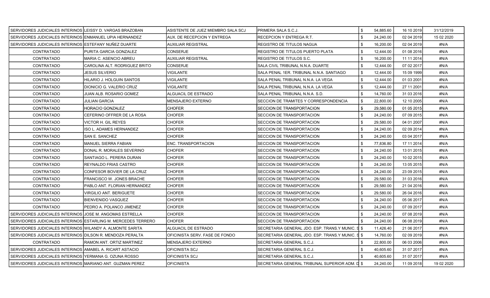| SERVIDORES JUDICIALES INTERINOS LEISSY D. VARGAS BRAZOBAN     |                                | ASISTENTE DE JUEZ MIEMBRO SALA SCJ | IPRIMERA SALA S.C.J.                              |     | 54,885.60 | 16 10 2019 | 31/12/2019 |
|---------------------------------------------------------------|--------------------------------|------------------------------------|---------------------------------------------------|-----|-----------|------------|------------|
| SERVIDORES JUDICIALES INTERINOS ENMANUEL UPIA HERNANDEZ       |                                | AUX. DE RECEPCION Y ENTREGA        | RECEPCION Y ENTREGA R.T.                          | \$  | 24,240.00 | 02 04 2019 | 15 02 2020 |
| SERVIDORES JUDICIALES INTERINOS (ESTEFANY NUNEZ DUARTE        |                                | AUXILIAR REGISTRAL                 | REGISTRO DE TITULOS NAGUA                         |     | 16,200.00 | 02 04 2019 | #N/A       |
| <b>CONTRATADO</b>                                             | PURITA GARCIA GONZALEZ         | <b>CONSERJE</b>                    | REGISTRO DE TITULOS PUERTO PLATA                  | -\$ | 12,444.00 | 01 08 2016 | #N/A       |
| CONTRATADO                                                    | <b>MARIA C. ASENCIO ABREU</b>  | <b>AUXILIAR REGISTRAL</b>          | REGISTRO DE TITULOS S.C.                          | -\$ | 16,200.00 | 11 11 2014 | #N/A       |
| <b>CONTRATADO</b>                                             | CAROLINA ALT. RODRIGUEZ BRITO  | CONSERJE                           | SALA CIVIL TRIBUNAL N.N.A. DUARTE                 | -\$ | 12,444.00 | 07 02 2017 | #N/A       |
| <b>CONTRATADO</b>                                             | <b>JESUS SILVERIO</b>          | <b>VIGILANTE</b>                   | SALA PENAL 1ER. TRIBUNAL N.N.A. SANTIAGO          | \$  | 12,444.00 | 15 09 1999 | #N/A       |
| <b>CONTRATADO</b>                                             | IHILARIO J. HOLGUIN SANTOS     | VIGILANTE                          | SALA PENAL TRIBUNAL N.N.A. LA VEGA                |     | 12,444.00 | 01 03 2001 | #N/A       |
| <b>CONTRATADO</b>                                             | DIONICIO G. VALERIO CRUZ       | VIGILANTE                          | SALA PENAL TRIBUNAL N.N.A. LA VEGA                | -\$ | 12,444.00 | 27 11 2001 | #N/A       |
| <b>CONTRATADO</b>                                             | JUAN ALB. ROSARIO GOMEZ        | ALGUACIL DE ESTRADO                | SALA PENAL TRIBUNAL N.N.A. S.D.                   |     | 14,760.00 | 31 03 2016 | #N/A       |
| CONTRATADO                                                    | JULIAN GARCIA                  | MENSAJERO EXTERNO                  | SECCION DE TRAMITES Y CORRESPONDENCIA             | -\$ | 22,800.00 | 12 10 2005 | #N/A       |
| <b>CONTRATADO</b>                                             | <b>HORACIO GONZALEZ</b>        | CHOFER                             | SECCION DE TRANSPORTACION                         |     | 29,580.00 | 01 05 2015 | #N/A       |
| <b>CONTRATADO</b>                                             | CEFERINO OFFRER DE LA ROSA     | CHOFER                             | SECCION DE TRANSPORTACION                         |     | 24,240.00 | 07 09 2015 | #N/A       |
| <b>CONTRATADO</b>                                             | VICTOR H. GIL REYES            | <b>CHOFER</b>                      | SECCION DE TRANSPORTACION                         |     | 29,580.00 | 04 01 2007 | #N/A       |
| <b>CONTRATADO</b>                                             | <b>ISO L. ADAMES HERNANDEZ</b> | CHOFER                             | SECCION DE TRANSPORTACION                         | \$  | 24,240.00 | 02 09 2014 | #N/A       |
| <b>CONTRATADO</b>                                             | SAN E. SANCHEZ                 | <b>CHOFER</b>                      | SECCION DE TRANSPORTACION                         | \$  | 24,240.00 | 03 04 2017 | #N/A       |
| <b>CONTRATADO</b>                                             | <b>MANUEL SIERRA FABIAN</b>    | <b>ENC. TRANSPORTACION</b>         | SECCION DE TRANSPORTACION                         | \$  | 77,836.80 | 17 11 2014 | #N/A       |
| <b>CONTRATADO</b>                                             | DONAL R. MORALES SEVERINO      | CHOFER                             | SECCION DE TRANSPORTACION                         | -\$ | 24,240.00 | 13 01 2015 | #N/A       |
| <b>CONTRATADO</b>                                             | SANTIAGO L. PERERA DURAN       | <b>CHOFER</b>                      | SECCION DE TRANSPORTACION                         |     | 24,240.00 | 10 02 2015 | #N/A       |
| <b>CONTRATADO</b>                                             | REYNALDO FRIAS CASTRO          | CHOFER                             | SECCION DE TRANSPORTACION                         |     | 24,240.00 | 13 05 2015 | #N/A       |
| <b>CONTRATADO</b>                                             | CONFESOR BOVIER DE LA CRUZ     | <b>CHOFER</b>                      | SECCION DE TRANSPORTACION                         | \$  | 24,240.00 | 23 09 2015 | #N/A       |
| <b>CONTRATADO</b>                                             | FRANCISCO W. JONES BRACHE      | <b>CHOFER</b>                      | SECCION DE TRANSPORTACION                         | \$  | 29,580.00 | 31 03 2016 | #N/A       |
| <b>CONTRATADO</b>                                             | PABLO ANT. FLORIAN HERNANDEZ   | <b>CHOFER</b>                      | SECCION DE TRANSPORTACION                         |     | 29,580.00 | 21 04 2016 | #N/A       |
| <b>CONTRATADO</b>                                             | VIRGILIO ANT. BERIGUETE        | <b>CHOFER</b>                      | SECCION DE TRANSPORTACION                         |     | 29,580.00 | 26 04 2016 | #N/A       |
| <b>CONTRATADO</b>                                             | <b>BIENVENIDO VASQUEZ</b>      | CHOFER                             | SECCION DE TRANSPORTACION                         |     | 24,240.00 | 05 06 2017 | #N/A       |
| <b>CONTRATADO</b>                                             | PEDRO A. POLANCO JIMENEZ       | <b>CHOFER</b>                      | SECCION DE TRANSPORTACION                         | \$  | 24,240.00 | 07 09 2017 | #N/A       |
| SERVIDORES JUDICIALES INTERINOS JJOSE M. ANGOMAS ESTRELLA     |                                | <b>CHOFER</b>                      | SECCION DE TRANSPORTACION                         | \$  | 24,240.00 | 07 08 2019 | #N/A       |
| SERVIDORES JUDICIALES INTERINOS ESTARLING M. MERCEDES TERRERO |                                | <b>CHOFER</b>                      | SECCION DE TRANSPORTACION                         | \$  | 24,240.00 | 06 08 2019 | #N/A       |
| SERVIDORES JUDICIALES INTERINOS WILANDY A. ALMONTE SARITA     |                                | <b>ALGUACIL DE ESTRADO</b>         | SECRETARIA GENERAL JDO. ESP. TRANS.Y MUNIC. S \$  |     | 11,426.40 | 21 06 2017 | #N/A       |
| SERVIDORES JUDICIALES INTERINOS IDILSON R. MENDOZA PERALTA    |                                | OFICINISTA SERV. FASE DE FONDO     | SECRETARIA GENERAL JDO. ESP. TRANS Y MUNIC. SI \$ |     | 14,760.00 | 02 09 2019 | #N/A       |
| <b>CONTRATADO</b>                                             | RAMON ANT. ORTIZ MARTINEZ      | MENSAJERO EXTERNO                  | SECRETARIA GENERAL S.C.J.                         |     | 22,800.00 | 06 03 2006 | #N/A       |
| SERVIDORES JUDICIALES INTERINOS AMABEL A. RICART ASTACIO      |                                | OFICINISTA SCJ                     | SECRETARIA GENERAL S.C.J.                         |     | 40,605.60 | 31 07 2017 | #N/A       |
| SERVIDORES JUDICIALES INTERINOS YERMANA G. OZUNA ROSSO        |                                | OFICINISTA SCJ                     | SECRETARIA GENERAL S.C.J.                         |     | 40,605.60 | 31 07 2017 | #N/A       |
| SERVIDORES JUDICIALES INTERINOS MARIANO ANT. GUZMAN PEREZ     |                                | <b>OFICINISTA</b>                  | SECRETARIA GENERAL TRIBUNAL SUPERIOR ADM. D \$    |     | 24.240.00 | 11 09 2018 | 19 02 2020 |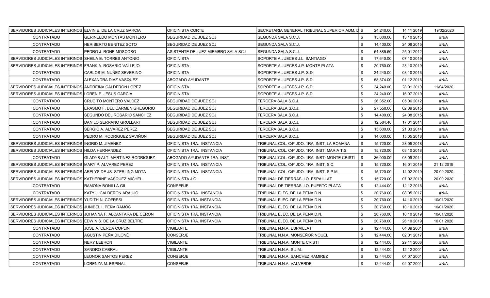| SERVIDORES JUDICIALES INTERINOS IELVIN E. DE LA CRUZ GARCIA    |                                       | IOFICINISTA CORTE                  | SECRETARIA GENERAL TRIBUNAL SUPERIOR ADM. D \$ |     | 24.240.00 | 14 11 2019 | 19/02/2020  |
|----------------------------------------------------------------|---------------------------------------|------------------------------------|------------------------------------------------|-----|-----------|------------|-------------|
| CONTRATADO                                                     | <b>GERINELDO MONTAS MONTERO</b>       | SEGURIDAD DE JUEZ SCJ              | SEGUNDA SALA S.C.J.                            |     | 15,600.00 | 13 10 2015 | #N/A        |
| CONTRATADO                                                     | HERIBERTO BENITEZ SOTO                | SEGURIDAD DE JUEZ SCJ              | SEGUNDA SALA S.C.J.                            |     | 14,400.00 | 24 08 2015 | #N/A        |
| CONTRATADO                                                     | PEDRO J. RONE MOSCOSO                 | ASISTENTE DE JUEZ MIEMBRO SALA SCJ | SEGUNDA SALA S.C.J.                            |     | 54,885.60 | 25 01 2012 | #N/A        |
| SERVIDORES JUDICIALES INTERINOS ISHEILA E. TORRES ANTONIO      |                                       | <b>OFICINISTA</b>                  | SOPORTE A JUECES J.L. SANTIAGO                 |     | 17.640.00 | 07 10 2019 | #N/A        |
| SERVIDORES JUDICIALES INTERINOS FRANK A. ROSARIO VALLEJO       |                                       | <b>OFICINISTA</b>                  | SOPORTE A JUECES J.P. MONTE PLATA              |     | 20,760.00 | 28 10 2019 | #N/A        |
| <b>CONTRATADO</b>                                              | CARLOS M. NUÑEZ SEVERINO              | IOFICINISTA                        | SOPORTE A JUECES J.P. S.D.                     | \$  | 24,240.00 | 03 10 2016 | #N/A        |
| CONTRATADO                                                     | ALEXANDRA DIAZ VASQUEZ                | <b>ABOGADO AYUDANTE</b>            | SOPORTE A JUECES J.P. S.D.                     |     | 58,374.00 | 01 12 2016 | #N/A        |
| SERVIDORES JUDICIALES INTERINOS ANDREINA CALDERON LOPEZ        |                                       | <b>OFICINISTA</b>                  | SOPORTE A JUECES J.P. S.D.                     |     | 24,240.00 | 28 01 2019 | 11/04/2020  |
| SERVIDORES JUDICIALES INTERINOS LOREN P. JESUS GARCIA          |                                       | <b>OFICINISTA</b>                  | SOPORTE A JUECES J.P. S.D.                     | \$  | 24,240.00 | 16 07 2019 | #N/A        |
| <b>CONTRATADO</b>                                              | CRUCITO MONTERO VALDEZ                | SEGURIDAD DE JUEZ SCJ              | TERCERA SALA S.C.J.                            |     | 26,352.00 | 05 06 2012 | #N/A        |
| CONTRATADO                                                     | ERASMO F. DEL CARMEN GREGORIO         | ISEGURIDAD DE JUEZ SCJ             | TERCERA SALA S.C.J.                            |     | 27,550.00 | 02 09 2015 | #N/A        |
| CONTRATADO                                                     | SEGUNDO DEL ROSARIO SANCHEZ           | ISEGURIDAD DE JUEZ SCJ             | TERCERA SALA S.C.J.                            |     | 14,400.00 | 24 08 2015 | #N/A        |
| <b>CONTRATADO</b>                                              | DANILO SERRANO GRULLART               | ISEGURIDAD DE JUEZ SCJ             | TERCERA SALA S.C.J.                            | \$  | 12,584.40 | 17 01 2014 | #N/A        |
| <b>CONTRATADO</b>                                              | SERGIO A. ALVAREZ PEREZ               | <b>SEGURIDAD DE JUEZ SCJ</b>       | TERCERA SALA S.C.J.                            |     | 15,600.00 | 21 03 2014 | #N/A        |
| <b>CONTRATADO</b>                                              | PEDRO M. RODRIGUEZ SAVIÑON            | SEGURIDAD DE JUEZ SCJ              | TERCERA SALA S.C.J.                            |     | 14,000.00 | 15 05 2018 | #N/A        |
| SERVIDORES JUDICIALES INTERINOS IINGRID M. JIMENEZ             |                                       | OFICINISTA 1RA. INSTANCIA          | TRIBUNAL COL. C/P JDO. 1RA. INST. LA ROMANA    |     | 15,720.00 | 28 05 2018 | #N/A        |
| SERVIDORES JUDICIALES INTERINOS HILDA HERNANDEZ                |                                       | IOFICINISTA 1RA. INSTANCIA         | TRIBUNAL COL. C/P JDO. 1RA. INST. MARIA T.S.   |     | 15,720.00 | 03 10 2018 | #N/A        |
| CONTRATADO                                                     | <b>GLADYS ALT. MARTINEZ RODRIGUEZ</b> | IABOGADO AYUDANTE 1RA. INST.       | TRIBUNAL COL. C/P JDO. 1RA. INST. MONTE CRISTI | \$  | 36,000.00 | 03 09 2014 | #N/A        |
| SERVIDORES JUDICIALES INTERINOS MARY P. ALVAREZ PEREZ          |                                       | IOFICINISTA 1RA. INSTANCIA         | TRIBUNAL COL. C/P JDO. 1RA. INST. S.C.         |     | 15,720.00 | 16 01 2019 | 21 12 2019  |
| SERVIDORES JUDICIALES INTERINOS ARELYS DE JS. STERLING MOTA    |                                       | IOFICINISTA 1RA. INSTANCIA         | TRIBUNAL COL. C/P JDO. 1RA. INST. S.P.M.       |     | 15,720.00 | 14 02 2019 | 20 09 20 20 |
| SERVIDORES JUDICIALES INTERINOS IKATHERINE VASQUEZ MICHEL      |                                       | IOFICINISTA J.O.                   | TRIBUNAL DE TIERRAS J.O. ESPAILLAT             |     | 15,720.00 | 07 02 2019 | 20 09 20 20 |
| CONTRATADO                                                     | RAMONA BONILLA GIL                    | <b>CONSERJE</b>                    | TRIBUNAL DE TIERRAS J.O. PUERTO PLATA          |     | 12,444.00 | 12 12 2016 | #N/A        |
| <b>CONTRATADO</b>                                              | KATY J. CALDERON ARAUJO               | IOFICINISTA 1RA. INSTANCIA         | TRIBUNAL EJEC. DE LA PENA D.N.                 | \$  | 20,760.00 | 08 05 2017 | #N/A        |
| SERVIDORES JUDICIALES INTERINOS YUDITH N. COFRESI              |                                       | OFICINISTA 1RA. INSTANCIA          | TRIBUNAL EJEC. DE LA PENA D.N.                 |     | 20,760.00 | 14 10 2019 | 10/01/2020  |
| SERVIDORES JUDICIALES INTERINOS IJUNIBEL I. PEÑA RAMOS         |                                       | OFICINISTA 1RA. INSTANCIA          | TRIBUNAL EJEC. DE LA PENA D.N.                 |     | 20,760.00 | 10 10 2019 | 10/01/2020  |
| SERVIDORES JUDICIALES INTERINOS JJOHANNA F. ALCANTARA DE CERON |                                       | OFICINISTA 1RA. INSTANCIA          | TRIBUNAL EJEC. DE LA PENA D.N.                 |     | 20,760.00 | 10 10 2019 | 10/01/2020  |
| SERVIDORES JUDICIALES INTERINOS EDWIN S. DE LA CRUZ BELTRE     |                                       | OFICINISTA 1RA. INSTANCIA          | TRIBUNAL EJEC. DE LA PENA D.N.                 |     | 20,760.00 | 26 10 2019 | 10 01 2020  |
| <b>CONTRATADO</b>                                              | <b>JOSE A. CERDA COPLIN</b>           | <b>VIGILANTE</b>                   | TRIBUNAL N.N.A. ESPAILLAT                      |     | 12,444.00 | 04 09 2001 | #N/A        |
| CONTRATADO                                                     | AGUSTIN PEÑA DILONÉ                   | <b>CONSERJE</b>                    | TRIBUNAL N.N.A. MONSEÑOR NOUEL                 | \$. | 12,444.00 | 02 01 2017 | #N/A        |
| CONTRATADO                                                     | NERY LEBRON                           | VIGILANTE                          | TRIBUNAL N.N.A. MONTE CRISTI                   | \$  | 12,444.00 | 29 11 2006 | #N/A        |
| CONTRATADO                                                     | <b>SANDRO CABRAL</b>                  | <b>VIGILANTE</b>                   | TRIBUNAL N.N.A. S.J.M.                         |     | 12,444.00 | 12 12 2001 | #N/A        |
| <b>CONTRATADO</b>                                              | <b>LEONOR SANTOS PEREZ</b>            | <b>CONSERJE</b>                    | TRIBUNAL N.N.A. SANCHEZ RAMIREZ                |     | 12,444.00 | 04 07 2001 | #N/A        |
| CONTRATADO                                                     | LORENZA M. ESPINAL                    | <b>CONSERJE</b>                    | TRIBUNAL N.N.A. VALVERDE                       |     | 12,444.00 | 02 07 2001 | #N/A        |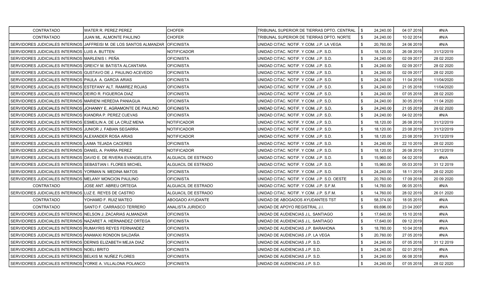| <b>CONTRATADO</b>                                               | WATER R. PEREZ PEREZ                                                  | <b>CHOFER</b>       | TRIBUNAL SUPERIOR DE TIERRAS DPTO. CENTRAL  |     | 24,240.00 | 04 07 2016 | #N/A        |
|-----------------------------------------------------------------|-----------------------------------------------------------------------|---------------------|---------------------------------------------|-----|-----------|------------|-------------|
| CONTRATADO                                                      | JUAN ML. ALMONTE PAULINO                                              | <b>CHOFER</b>       | TRIBUNAL SUPERIOR DE TIERRAS DPTO. NORTE    | -\$ | 24,240.00 | 10 02 2014 | #N/A        |
|                                                                 | SERVIDORES JUDICIALES INTERINOS   JAFFREISI M. DE LOS SANTOS ALMANZAR | <b>OFICINISTA</b>   | UNIDAD CITAC. NOTIF. Y COM. J.P. LA VEGA    |     | 20,760.00 | 24 06 2019 | #N/A        |
| SERVIDORES JUDICIALES INTERINOS LUIS A. BUTTEN                  |                                                                       | <b>NOTIFICADOR</b>  | UNIDAD CITAC. NOTIF. Y COM. J.P. S.D.       | -\$ | 18,120.00 | 26 08 2019 | 31/12/2019  |
| SERVIDORES JUDICIALES INTERINOS MARLENIS I. PEÑA                |                                                                       | <b>OFICINISTA</b>   | UNIDAD CITAC. NOTIF. Y COM. J.P. S.D.       | \$  | 24,240.00 | 02 09 2017 | 28 02 2020  |
| SERVIDORES JUDICIALES INTERINOS GREICY M. BATISTA ALCANTARA     |                                                                       | <b>OFICINISTA</b>   | UNIDAD CITAC. NOTIF. Y COM. J.P. S.D.       | S   | 24,240.00 | 02 09 2017 | 28 02 2020  |
| SERVIDORES JUDICIALES INTERINOS GUSTAVO DE J. PAULINO ACEVEDO   |                                                                       | <b>OFICINISTA</b>   | UNIDAD CITAC. NOTIF. Y COM. J.P. S.D.       | \$  | 24,240.00 | 02 09 2017 | 28 02 2020  |
| SERVIDORES JUDICIALES INTERINOS PAULA A. GARCIA ARIAS           |                                                                       | <b>OFICINISTA</b>   | UNIDAD CITAC. NOTIF. Y COM. J.P. S.D.       |     | 24,240.00 | 11 04 2018 | 11/04/2020  |
| SERVIDORES JUDICIALES INTERINOS ESTEFANY ALT. RAMIREZ ROJAS     |                                                                       | OFICINISTA          | UNIDAD CITAC. NOTIF. Y COM. J.P. S.D.       | -\$ | 24,240.00 | 21 05 2018 | 11/04/2020  |
| SERVIDORES JUDICIALES INTERINOS DEIRO R. FIGUEROA DIAZ          |                                                                       | <b>OFICINISTA</b>   | UNIDAD CITAC. NOTIF. Y COM. J.P. S.D.       | \$  | 24,240.00 | 07 05 2018 | 28 02 2020  |
| SERVIDORES JUDICIALES INTERINOS MARIENI HEREDIA PANIAGUA        |                                                                       | <b>OFICINISTA</b>   | UNIDAD CITAC. NOTIF. Y COM. J.P. S.D.       | -\$ | 24.240.00 | 30 05 2019 | 11 04 2020  |
|                                                                 | SERVIDORES JUDICIALES INTERINOS JJOHANNY E. AGRAMONTE DE PAULINO      | <b>OFICINISTA</b>   | UNIDAD CITAC. NOTIF. Y COM. J.P. S.D.       | \$  | 24,240.00 | 21 05 2019 | 28 02 2020  |
| SERVIDORES JUDICIALES INTERINOS KIANDRA P. PEREZ CUEVAS         |                                                                       | <b>OFICINISTA</b>   | UNIDAD CITAC. NOTIF. Y COM. J.P. S.D.       |     | 24,240.00 | 04 02 2019 | #N/A        |
| SERVIDORES JUDICIALES INTERINOS ESMEILIN A. DE LA CRUZ MENA     |                                                                       | <b>NOTIFICADOR</b>  | UNIDAD CITAC. NOTIF. Y COM. J.P. S.D.       | -\$ | 18,120.00 | 26 08 2019 | 31/12/2019  |
| SERVIDORES JUDICIALES INTERINOS JJUNIOR J. FABIAN SEGARRA       |                                                                       | NOTIFICADOR         | UNIDAD CITAC. NOTIF. Y COM. J.P. S.D.       | -\$ | 18,120.00 | 23 08 2019 | 31/12/2019  |
| SERVIDORES JUDICIALES INTERINOS ALEXANDER ROSA ARIAS            |                                                                       | <b>NOTIFICADOR</b>  | UNIDAD CITAC. NOTIF. Y COM. J.P. S.D.       | \$  | 18,120.00 | 23 08 2019 | 31/12/2019  |
| SERVIDORES JUDICIALES INTERINOS LAIMA TEJADA CACERES            |                                                                       | <b>OFICINISTA</b>   | UNIDAD CITAC. NOTIF. Y COM. J.P. S.D.       | \$  | 24,240.00 | 22 10 2019 | 28 02 2020  |
| SERVIDORES JUDICIALES INTERINOS DANIEL A. PARRA PEREZ           |                                                                       | <b>NOTIFICADOR</b>  | UNIDAD CITAC. NOTIF. Y COM. J.P. S.D.       |     | 18,120.00 | 26 08 2019 | 31/12/2019  |
| SERVIDORES JUDICIALES INTERINOS IDAVID E. DE RIVERA EVANGELISTA |                                                                       | ALGUACIL DE ESTRADO | UNIDAD CITAC. NOTIF. Y COM. J.P. S.D.       | \$  | 15,960.00 | 04 02 2019 | #N/A        |
| SERVIDORES JUDICIALES INTERINOS SEBASTIAN I. FLORES MICHEL      |                                                                       | ALGUACIL DE ESTRADO | UNIDAD CITAC. NOTIF. Y COM. J.P. S.D.       | \$  | 15,960.00 | 05 03 2019 | 31 12 2019  |
| SERVIDORES JUDICIALES INTERINOS YORMAN N. MEDINA MATOS          |                                                                       | <b>OFICINISTA</b>   | UNIDAD CITAC. NOTIF. Y COM. J.P. S.D.       | -\$ | 24,240.00 | 18 11 2019 | 28 02 2020  |
| SERVIDORES JUDICIALES INTERINOS MELANY MONCION PAULINO          |                                                                       | <b>OFICINISTA</b>   | UNIDAD CITAC. NOTIF. Y COM. J.P. S.D. OESTE | \$  | 20,760.00 | 17 09 2018 | 20 09 20 20 |
| CONTRATADO                                                      | JOSE ANT. ABREU ORTEGA                                                | ALGUACIL DE ESTRADO | UNIDAD CITAC. NOTIF. Y COM. J.P. S.F.M.     |     | 14,760.00 | 06 05 2015 | #N/A        |
| SERVIDORES JUDICIALES INTERINOS LUZ E. REYES DE CASTRO          |                                                                       | ALGUACIL DE ESTRADO | UNIDAD CITAC. NOTIF. Y COM. J.P. S.F.M.     | -\$ | 14,760.00 | 28 02 2019 | 26 01 2020  |
| <b>CONTRATADO</b>                                               | YOHAMID F. RUIZ MATEO                                                 | ABOGADO AYUDANTE    | UNIDAD DE ABOGADOS AYUDANTES TST            |     | 58,374.00 | 18 05 2015 | #N/A        |
| <b>CONTRATADO</b>                                               | SANTO F. CARRASCO TERRERO                                             | ANALISTA JURIDICO   | UNIDAD DE APOYO REGISTRAL J.I.              | \$  | 69,696.00 | 23 04 2007 | #N/A        |
| SERVIDORES JUDICIALES INTERINOS INELSON J. ZACARIAS ALMANZAR    |                                                                       | <b>OFICINISTA</b>   | UNIDAD DE AUDIENCIAS J.L. SANTIAGO          | \$  | 17,640.00 | 15 10 2018 | #N/A        |
| SERVIDORES JUDICIALES INTERINOS NAZARET A. HERNANDEZ ORTEGA     |                                                                       | <b>OFICINISTA</b>   | UNIDAD DE AUDIENCIAS J.L. SANTIAGO          |     | 17,640.00 | 09 12 2019 | #N/A        |
| SERVIDORES JUDICIALES INTERINOS RUMAYRIS REYES FERNANDEZ        |                                                                       | OFICINISTA          | UNIDAD DE AUDIENCIAS J.P. BARAHONA          | -\$ | 18,780.00 | 10 04 2018 | #N/A        |
| SERVIDORES JUDICIALES INTERINOS ANAMAXI RONDON SALDAÑA          |                                                                       | <b>OFICINISTA</b>   | UNIDAD DE AUDIENCIAS J.P. LA VEGA           | \$  | 20,760.00 | 27 05 2019 | #N/A        |
| SERVIDORES JUDICIALES INTERINOS IDERNIS ELIZABETH MEJIA DIAZ    |                                                                       | <b>OFICINISTA</b>   | UNIDAD DE AUDIENCIAS J.P. S.D.              | -\$ | 24,240.00 | 07 05 2018 | 31 12 2019  |
| SERVIDORES JUDICIALES INTERINOS NOELI BRITO                     |                                                                       | <b>OFICINISTA</b>   | UNIDAD DE AUDIENCIAS J.P. S.D.              | \$  | 24,240.00 | 02 01 2019 | #N/A        |
| SERVIDORES JUDICIALES INTERINOS BELKIS M. NUÑEZ FLORES          |                                                                       | <b>OFICINISTA</b>   | UNIDAD DE AUDIENCIAS J.P. S.D.              |     | 24,240.00 | 06 08 2018 | #N/A        |
| SERVIDORES JUDICIALES INTERINOS YORKE A. VILLALONA POLANCO      |                                                                       | <b>OFICINISTA</b>   | UNIDAD DE AUDIENCIAS J.P. S.D.              | \$  | 24,240.00 | 07 05 2018 | 28 02 2020  |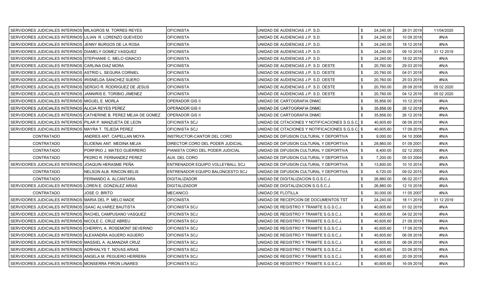| SERVIDORES JUDICIALES INTERINOS MILAGROS M. TORRES REYES     |                                                                   | <b>OFICINISTA</b>                | UNIDAD DE AUDIENCIAS J.P. S.D.                     |     | 24,240.00 | 28 01 2019 | 11/04/2020 |
|--------------------------------------------------------------|-------------------------------------------------------------------|----------------------------------|----------------------------------------------------|-----|-----------|------------|------------|
| SERVIDORES JUDICIALES INTERINOS LILIAN R. LORENZO QUEVEDO    |                                                                   | <b>OFICINISTA</b>                | UNIDAD DE AUDIENCIAS J.P. S.D.                     | -\$ | 24,240.00 | 10 09 2018 | #N/A       |
| SERVIDORES JUDICIALES INTERINOS JJENNY BURGOS DE LA ROSA     |                                                                   | <b>OFICINISTA</b>                | UNIDAD DE AUDIENCIAS J.P. S.D.                     |     | 24,240.00 | 18 12 2018 | #N/A       |
| SERVIDORES JUDICIALES INTERINOS DIAMELY GOMEZ VASQUEZ        |                                                                   | <b>OFICINISTA</b>                | UNIDAD DE AUDIENCIAS J.P. S.D.                     | \$  | 24,240.00 | 09 10 2018 | 31 12 2019 |
| SERVIDORES JUDICIALES INTERINOS STEPHANIE C. MELO IGNACIO    |                                                                   | <b>OFICINISTA</b>                | UNIDAD DE AUDIENCIAS J.P. S.D.                     | \$  | 24,240.00 | 18 02 2019 | #N/A       |
| SERVIDORES JUDICIALES INTERINOS CARLINA DIAZ MORA            |                                                                   | <b>OFICINISTA</b>                | UNIDAD DE AUDIENCIAS J.P. S.D. OESTE               | £.  | 20,760.00 | 29 03 2019 | #N/A       |
| SERVIDORES JUDICIALES INTERINOS ASTRID L. SEGURA CORNIEL     |                                                                   | <b>OFICINISTA</b>                | UNIDAD DE AUDIENCIAS J.P. S.D. OESTE               | -\$ | 20,760.00 | 04 01 2018 | #N/A       |
| SERVIDORES JUDICIALES INTERINOS IRISNELDA SANCHEZ SUERO      |                                                                   | <b>OFICINISTA</b>                | UNIDAD DE AUDIENCIAS J.P. S.D. OESTE               |     | 20,760.00 | 25 03 2019 | #N/A       |
| SERVIDORES JUDICIALES INTERINOS SERGIO R. RODRIGUEZ DE JESUS |                                                                   | <b>OFICINISTA</b>                | UNIDAD DE AUDIENCIAS J.P. S.D. OESTE               | -\$ | 20,760.00 | 28 09 2018 | 05 02 2020 |
| SERVIDORES JUDICIALES INTERINOS IJANNIRIS E. TORIBIO JIMENEZ |                                                                   | <b>OFICINISTA</b>                | UNIDAD DE AUDIENCIAS J.P. S.D. OESTE               |     | 20,760.00 | 04 12 2018 | 05 02 2020 |
| SERVIDORES JUDICIALES INTERINOS MIGUEL E. MORLA              |                                                                   | <b>OPERADOR GIS II</b>           | UNIDAD DE CARTOGRAFIA DNMC                         | \$  | 35,856.00 | 10 12 2018 | #N/A       |
| SERVIDORES JUDICIALES INTERINOS ALICIA REYES PEREZ           |                                                                   | <b>OPERADOR GIS II</b>           | UNIDAD DE CARTOGRAFIA DNMC                         | \$  | 35,856.00 | 26 12 2018 | #N/A       |
|                                                              | SERVIDORES JUDICIALES INTERINOS CATHERINE B. PEREZ MEJIA DE GOMEZ | <b>OPERADOR GIS II</b>           | UNIDAD DE CARTOGRAFIA DNMC                         |     | 35,856.00 | 26 12 2018 | #N/A       |
| SERVIDORES JUDICIALES INTERINOS PILAR P. MANZUETA DE LEON    |                                                                   | OFICINISTA SCJ                   | UNIDAD DE CITACIONES Y NOTIFICACIONES S.G.S.C.I \$ |     | 40,605.60 | 06 09 2018 | #N/A       |
| SERVIDORES JUDICIALES INTERINOS MAYRA T. TEJEDA PEREZ        |                                                                   | OFICINISTA SCJ                   | UNIDAD DE CITACIONES Y NOTIFICACIONES S.G.S.C. \$  |     | 40,605.60 | 17 09 2019 | #N/A       |
| <b>CONTRATADO</b>                                            | ANDRES ANT. CAPELLAN MOYA                                         | INSTRUCTOR-CANTOR DEL CORO       | UNIDAD DE DIFUSION CULTURAL Y DEPORTIVA            | -\$ | 9,000.00  | 04 10 2006 | #N/A       |
| CONTRATADO                                                   | ELIOENAI ANT. MEDINA MEJIA                                        | DIRECTOR CORO DEL PODER JUDICIAL | UNIDAD DE DIFUSION CULTURAL Y DEPORTIVA            | \$  | 28,860.00 | 01 09 2001 | #N/A       |
| <b>CONTRATADO</b>                                            | PORFIRIO J. MATEO GUERRERO                                        | PIANISTA CORO DEL PODER JUDICIAL | UNIDAD DE DIFUSION CULTURAL Y DEPORTIVA            | -\$ | 8,400.00  | 02 12 2003 | #N/A       |
| <b>CONTRATADO</b>                                            | PEDRO R. FERNANDEZ PEREZ                                          | AUX. DEL CORO                    | UNIDAD DE DIFUSION CULTURAL Y DEPORTIVA            | -\$ | 7,200.00  | 05 03 2004 | #N/A       |
| SERVIDORES JUDICIALES INTERINOS JJOAQUIN HERASME PEÑA        |                                                                   | ENTRENADOR EQUIPO VOLLEYBALL SCJ | UNIDAD DE DIFUSION CULTURAL Y DEPORTIVA            | \$  | 13,800.00 | 10 10 2014 | #N/A       |
| <b>CONTRATADO</b>                                            | NELSON ALB. RINCON BELIS                                          | ENTRENADOR EQUIPO BALONCESTO SCJ | UNIDAD DE DIFUSION CULTURAL Y DEPORTIVA            | \$  | 6,720.00  | 09 02 2015 | #N/A       |
| <b>CONTRATADO</b>                                            | FERNANDO A. ALCANTARA                                             | <b>DIGITALIZADOR</b>             | UNIDAD DE DIGITALIZACION S.G.S.C.J.                | \$  | 26,880.00 | 06 02 2017 | #N/A       |
| SERVIDORES JUDICIALES INTERINOS LOREN E. GONZALEZ ARIAS      |                                                                   | <b>DIGITALIZADOR</b>             | UNIDAD DE DIGITALIZACION S.G.S.C.J.                |     | 26,880.00 | 12 10 2018 | #N/A       |
| <b>CONTRATADO</b>                                            | JOSE O. BRITO                                                     | MECANICO                         | UNIDAD DE FLOTILLA                                 | \$  | 30,000.00 | 11 05 2007 | #N/A       |
| SERVIDORES JUDICIALES INTERINOS MARIA DEL P. MELO MADE       |                                                                   | OFICINISTA                       | UNIDAD DE RECEPCION DE DOCUMENTOS TST              |     | 24,240.00 | 18 11 2019 | 31 12 2019 |
| SERVIDORES JUDICIALES INTERINOS IISAAC ALVAREZ BAUTISTA      |                                                                   | OFICINISTA SCJ                   | UNIDAD DE REGISTRO Y TRAMITE S.G.S.C.J.            | \$  | 40,605.60 | 01 02 2019 | #N/A       |
| SERVIDORES JUDICIALES INTERINOS RACHEL CAMPUSANO VASQUEZ     |                                                                   | OFICINISTA SCJ                   | UNIDAD DE REGISTRO Y TRAMITE S.G.S.C.J.            | \$  | 40,605.60 | 04 02 2019 | #N/A       |
| SERVIDORES JUDICIALES INTERINOS INICOLE C. CRUZ ABREU        |                                                                   | <b>OFICINISTA SCJ</b>            | UNIDAD DE REGISTRO Y TRAMITE S.G.S.C.J.            | -\$ | 40,605.60 | 21 09 2018 | #N/A       |
| SERVIDORES JUDICIALES INTERINOS CHERRYL A. ROSEMONT SEVERINO |                                                                   | OFICINISTA SCJ                   | UNIDAD DE REGISTRO Y TRAMITE S.G.S.C.J.            | \$  | 40,605.60 | 17 09 2019 | #N/A       |
| SERVIDORES JUDICIALES INTERINOS  ALEXANDRA AGUERO AGUERO     |                                                                   | OFICINISTA SCJ                   | UNIDAD DE REGISTRO Y TRAMITE S.G.S.C.J.            |     | 40,605.60 | 06 09 2018 | #N/A       |
| SERVIDORES JUDICIALES INTERINOS MASSIEL A. ALMANZAR CRUZ     |                                                                   | OFICINISTA SCJ                   | UNIDAD DE REGISTRO Y TRAMITE S.G.S.C.J.            | \$  | 40,605.60 | 06 09 2018 | #N/A       |
| SERVIDORES JUDICIALES INTERINOS ADRHIALYS T. NOVAS ARIAS     |                                                                   | OFICINISTA SCJ                   | UNIDAD DE REGISTRO Y TRAMITE S.G.S.C.J.            |     | 40,605.60 | 03 09 2019 | #N/A       |
| SERVIDORES JUDICIALES INTERINOS ANGELA M. PEGUERO HERRERA    |                                                                   | OFICINISTA SCJ                   | UNIDAD DE REGISTRO Y TRAMITE S.G.S.C.J.            | -\$ | 40,605.60 | 20 09 2018 | #N/A       |
| SERVIDORES JUDICIALES INTERINOS MONSERRA PIRON LINARES       |                                                                   | <b>OFICINISTA SCJ</b>            | UNIDAD DE REGISTRO Y TRAMITE S.G.S.C.J.            | \$  | 40.605.60 | 16 09 2019 | #N/A       |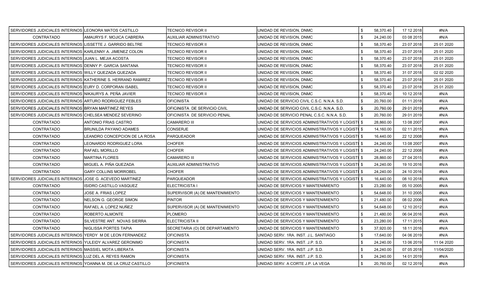| SERVIDORES JUDICIALES INTERINOS LEONORA MATOS CASTILLO        |                               | TECNICO REVISOR II              | UNIDAD DE REVISION, DNMC                          |      | 58,370.40 | 17 12 2018 | #N/A       |
|---------------------------------------------------------------|-------------------------------|---------------------------------|---------------------------------------------------|------|-----------|------------|------------|
| <b>CONTRATADO</b>                                             | AMAURYS F. MOJICA CABRERA     | <b>AUXILIAR ADMINISTRATIVO</b>  | UNIDAD DE REVISION, DNMC                          | £.   | 24,240.00 | 03 08 2015 | #N/A       |
| SERVIDORES JUDICIALES INTERINOS LISSETTE J. GARRIDO BELTRE    |                               | TECNICO REVISOR II              | UNIDAD DE REVISION, DNMC                          |      | 58,370.40 | 23 07 2018 | 25 01 2020 |
| SERVIDORES JUDICIALES INTERINOS KARLENNY A. JIMENEZ COLON     |                               | <b>TECNICO REVISOR II</b>       | UNIDAD DE REVISION, DNMC                          | -\$  | 58,370.40 | 23 07 2018 | 25 01 2020 |
| SERVIDORES JUDICIALES INTERINOS JJUAN L. MEJIA ACOSTA         |                               | TECNICO REVISOR II              | UNIDAD DE REVISION, DNMC                          |      | 58,370.40 | 23 07 2018 | 25 01 2020 |
| SERVIDORES JUDICIALES INTERINOS DENNY P. GARCIA SANTANA       |                               | TECNICO REVISOR II              | UNIDAD DE REVISION, DNMC                          |      | 58,370.40 | 23 07 2018 | 25 01 2020 |
| SERVIDORES JUDICIALES INTERINOS WILLY QUEZADA QUEZADA         |                               | <b>TECNICO REVISOR II</b>       | UNIDAD DE REVISION, DNMC                          |      | 58,370.40 | 31 07 2018 | 02 02 2020 |
| SERVIDORES JUDICIALES INTERINOS KATHERINE S. HERRAND RAMIREZ  |                               | <b>TECNICO REVISOR II</b>       | UNIDAD DE REVISION, DNMC                          |      | 58,370.40 | 23 07 2018 | 25 01 2020 |
| SERVIDORES JUDICIALES INTERINOS EURY D. CORPORAN ISABEL       |                               | <b>TECNICO REVISOR II</b>       | UNIDAD DE REVISION, DNMC                          | -\$  | 58,370.40 | 23 07 2018 | 25 01 2020 |
| SERVIDORES JUDICIALES INTERINOS NIKAURYS A. PEÑA JAVIER       |                               | TECNICO REVISOR II              | UNIDAD DE REVISION, DNMC                          |      | 58,370.40 | 10 12 2018 | #N/A       |
| SERVIDORES JUDICIALES INTERINOS ARTURO RODRIGUEZ FEBLES       |                               | <b>OFICINISTA</b>               | UNIDAD DE SERVICIO CIVIL C.S.C. N.N.A. S.D.       |      | 20,760.00 | 01 11 2018 | #N/A       |
| SERVIDORES JUDICIALES INTERINOS BRYAN MARTINEZ REYES          |                               | OFICINISTA DE SERVICIO CIVIL    | UNIDAD DE SERVICIO CIVIL C.S.C. N.N.A. S.D.       | - \$ | 20,760.00 | 29 01 2019 | #N/A       |
| SERVIDORES JUDICIALES INTERINOS CHELSEA MENDEZ SEVERINO       |                               | OFICINISTA DE SERVICIO PENAL    | UNIDAD DE SERVICIO PENAL C.S.C. N.N.A. S.D.       |      | 20,760.00 | 29 01 2019 | #N/A       |
| CONTRATADO                                                    | ANTONIO FRIAS CASTRO          | <b>CAMARERO III</b>             | UNIDAD DE SERVICIOS ADMINISTRATIVOS Y LOGISTI \$  |      | 28,860.00 | 13 08 2007 | #N/A       |
| <b>CONTRATADO</b>                                             | BRUNILDA PAYANO ADAMES        | CONSERJE                        | UNIDAD DE SERVICIOS ADMINISTRATIVOS Y LOGISTI \$  |      | 14,160.00 | 02 11 2015 | #N/A       |
| CONTRATADO                                                    | LEANDRO CONCEPCION DE LA ROSA | <b>PARQUEADOR</b>               | UNIDAD DE SERVICIOS ADMINISTRATIVOS Y LOGISTI \$  |      | 16,440.00 | 22 12 2008 | #N/A       |
| <b>CONTRATADO</b>                                             | LEONARDO RODRIGUEZ LORA       | <b>CHOFER</b>                   | IUNIDAD DE SERVICIOS ADMINISTRATIVOS Y LOGIST∎ \$ |      | 24,240.00 | 13 08 2007 | #N/A       |
| CONTRATADO                                                    | RAFAEL MORILLO                | <b>CHOFER</b>                   | UNIDAD DE SERVICIOS ADMINISTRATIVOS Y LOGISTI \$  |      | 24,240.00 | 22 12 2008 | #N/A       |
| CONTRATADO                                                    | <b>MARTINA FLORES</b>         | <b>CAMARERO III</b>             | UNIDAD DE SERVICIOS ADMINISTRATIVOS Y LOGISTI \$  |      | 28,860.00 | 27 04 2015 | #N/A       |
| CONTRATADO                                                    | MIGUEL A. PIÑA QUEZADA        | AUXILIAR ADMINISTRATIVO         | UNIDAD DE SERVICIOS ADMINISTRATIVOS Y LOGISTI \$  |      | 24,240.00 | 19 10 2016 | #N/A       |
| <b>CONTRATADO</b>                                             | GARY COLLINS MORROBEL         | <b>CHOFER</b>                   | UNIDAD DE SERVICIOS ADMINISTRATIVOS Y LOGISTI \$  |      | 24,240.00 | 24 10 2016 | #N/A       |
| SERVIDORES JUDICIALES INTERINOS                               | JOSE G. ACEVEDO MARTINEZ      | <b>PARQUEADOR</b>               | UNIDAD DE SERVICIOS ADMINISTRATIVOS Y LOGISTI \$  |      | 16,440.00 | 08 10 2018 | #N/A       |
| CONTRATADO                                                    | ISIDRO CASTILLO VASQUEZ       | ELECTRICISTA I                  | UNIDAD DE SERVICIOS Y MANTENIMIENTO               |      | 23,280.00 | 05 10 2005 | #N/A       |
| CONTRATADO                                                    | JOSE A. FRIAS LOPEZ           | SUPERVISOR (A) DE MANTENIMIENTO | UNIDAD DE SERVICIOS Y MANTENIMIENTO               |      | 54,648.00 | 31 10 2005 | #N/A       |
| CONTRATADO                                                    | NELSON G. GEORGE SIMON        | <b>PINTOR</b>                   | UNIDAD DE SERVICIOS Y MANTENIMIENTO               |      | 21,480.00 | 08 02 2006 | #N/A       |
| <b>CONTRATADO</b>                                             | RAFAEL A. LOPEZ NUÑEZ         | SUPERVISOR (A) DE MANTENIMIENTO | UNIDAD DE SERVICIOS Y MANTENIMIENTO               |      | 54,648.00 | 12 10 2012 | #N/A       |
| CONTRATADO                                                    | ROBERTO ALMONTE               | <b>PLOMERO</b>                  | UNIDAD DE SERVICIOS Y MANTENIMIENTO               |      | 21,480.00 | 06 04 2016 | #N/A       |
| CONTRATADO                                                    | SILVESTRE ANT. NOVAS SIERRA   | ELECTRICISTA II                 | IUNIDAD DE SERVICIOS Y MANTENIMIENTO              |      | 23,280.00 | 17 11 2015 | #N/A       |
| CONTRATADO                                                    | NIGLISSA PORTES TAPIA         | SECRETARIA (O) DE DEPARTAMENTO  | UNIDAD DE SERVICIOS Y MANTENIMIENTO               |      | 37,920.00 | 18 11 2016 | #N/A       |
| SERVIDORES JUDICIALES INTERINOS YERDY M DE LEON FERNANDEZ     |                               | <b>OFICINISTA</b>               | UNIDAD SERV. 1RA. INST. J.L. SANTIAGO             |      | 17,640.00 | 04 06 2019 | #N/A       |
| SERVIDORES JUDICIALES INTERINOS YULEIDY ALVAREZ GERONIMO      |                               | <b>OFICINISTA</b>               | UNIDAD SERV. 1RA. INST. J.P. S.D.                 | -\$  | 24,240.00 | 13 06 2019 | 11 04 2020 |
| SERVIDORES JUDICIALES INTERINOS MASSIEL MOTA LIBERATA         |                               | <b>OFICINISTA</b>               | UNIDAD SERV. 1RA. INST. J.P. S.D.                 | -9   | 24,240.00 | 07 05 2018 | 11/04/2020 |
| SERVIDORES JUDICIALES INTERINOS LUZ DEL A. REYES RAMON        |                               | <b>OFICINISTA</b>               | UNIDAD SERV. 1RA. INST. J.P. S.D.                 |      | 24,240.00 | 14 01 2019 | #N/A       |
| SERVIDORES JUDICIALES INTERINOS YOANNA M. DE LA CRUZ CASTILLO |                               | <b>OFICINISTA</b>               | UNIDAD SERV. A CORTE J.P. LA VEGA                 |      | 20,760.00 | 02 12 2019 | #N/A       |